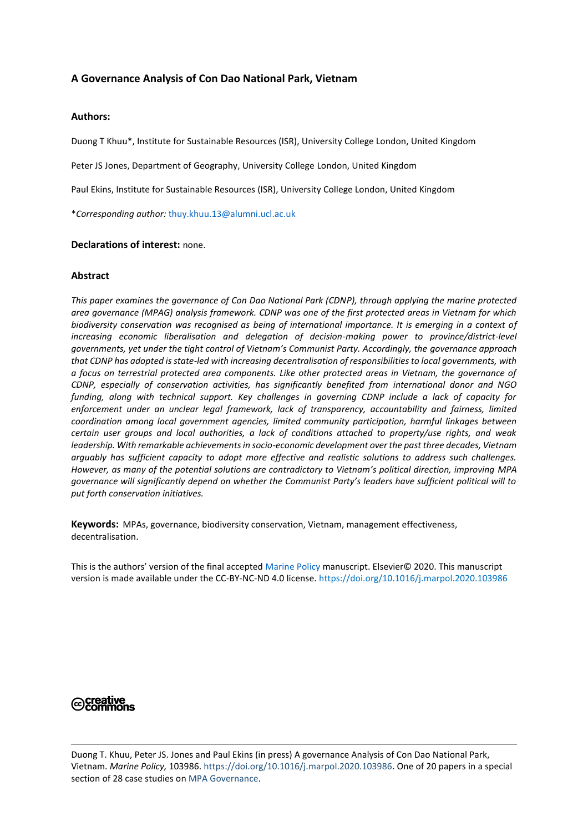# **A Governance Analysis of Con Dao National Park, Vietnam**

## **Authors:**

Duong T Khuu\*, Institute for Sustainable Resources (ISR), University College London, United Kingdom

Peter JS Jones, Department of Geography, University College London, United Kingdom

Paul Ekins, Institute for Sustainable Resources (ISR), University College London, United Kingdom

\**Corresponding author:* [thuy.khuu.13@alumni.ucl.ac.uk](mailto:thuy.khuu.13@alumni.ucl.ac.uk)

#### **Declarations of interest:** none.

## **Abstract**

*This paper examines the governance of Con Dao National Park (CDNP), through applying the marine protected area governance (MPAG) analysis framework. CDNP was one of the first protected areas in Vietnam for which biodiversity conservation was recognised as being of international importance. It is emerging in a context of increasing economic liberalisation and delegation of decision-making power to province/district-level governments, yet under the tight control of Vietnam's Communist Party. Accordingly, the governance approach that CDNP has adopted is state-led with increasing decentralisation of responsibilities to local governments, with a focus on terrestrial protected area components. Like other protected areas in Vietnam, the governance of CDNP, especially of conservation activities, has significantly benefited from international donor and NGO funding, along with technical support. Key challenges in governing CDNP include a lack of capacity for enforcement under an unclear legal framework, lack of transparency, accountability and fairness, limited coordination among local government agencies, limited community participation, harmful linkages between certain user groups and local authorities, a lack of conditions attached to property/use rights, and weak leadership. With remarkable achievements in socio-economic development over the past three decades, Vietnam arguably has sufficient capacity to adopt more effective and realistic solutions to address such challenges. However, as many of the potential solutions are contradictory to Vietnam's political direction, improving MPA governance will significantly depend on whether the Communist Party's leaders have sufficient political will to put forth conservation initiatives.*

**Keywords:** MPAs, governance, biodiversity conservation, Vietnam, management effectiveness, decentralisation.

This is the authors' version of the final accepted [Marine Policy](https://www.journals.elsevier.com/marine-policy/) manuscript. Elsevier© 2020. This manuscript version is made available under the CC-BY-NC-ND 4.0 license[. https://doi.org/10.1016/j.marpol.2020.103986](https://doi.org/10.1016/j.marpol.2020.103986)

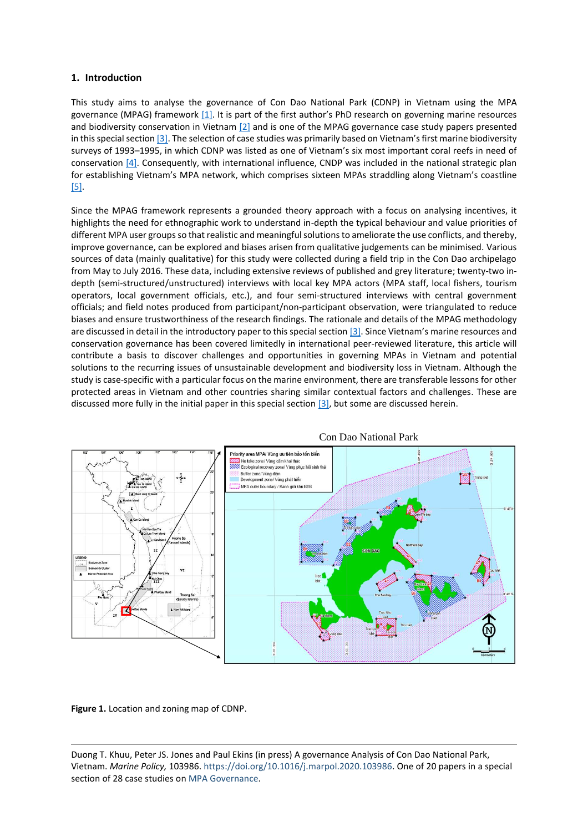## **1. Introduction**

This study aims to analyse the governance of Con Dao National Park (CDNP) in Vietnam using the MPA governance (MPAG) framework [\[1\].](#page-16-0) It is part of the first author's PhD research on governing marine resources and biodiversity conservation in Vietnam [\[2\]](#page-16-1) and is one of the MPAG governance case study papers presented in this special section [3]. The selection of case studies was primarily based on Vietnam's first marine biodiversity surveys of 1993–1995, in which CDNP was listed as one of Vietnam's six most important coral reefs in need of conservation [\[4\].](#page-16-2) Consequently, with international influence, CNDP was included in the national strategic plan for establishing Vietnam's MPA network, which comprises sixteen MPAs straddling along Vietnam's coastline [\[5\].](#page-16-3)

Since the MPAG framework represents a grounded theory approach with a focus on analysing incentives, it highlights the need for ethnographic work to understand in-depth the typical behaviour and value priorities of different MPA user groups so that realistic and meaningful solutions to ameliorate the use conflicts, and thereby, improve governance, can be explored and biases arisen from qualitative judgements can be minimised. Various sources of data (mainly qualitative) for this study were collected during a field trip in the Con Dao archipelago from May to July 2016. These data, including extensive reviews of published and grey literature; twenty-two indepth (semi-structured/unstructured) interviews with local key MPA actors (MPA staff, local fishers, tourism operators, local government officials, etc.), and four semi-structured interviews with central government officials; and field notes produced from participant/non-participant observation, were triangulated to reduce biases and ensure trustworthiness of the research findings. The rationale and details of the MPAG methodology are discussed in detail in the introductory paper to this special section [3]. Since Vietnam's marine resources and conservation governance has been covered limitedly in international peer-reviewed literature, this article will contribute a basis to discover challenges and opportunities in governing MPAs in Vietnam and potential solutions to the recurring issues of unsustainable development and biodiversity loss in Vietnam. Although the study is case-specific with a particular focus on the marine environment, there are transferable lessons for other protected areas in Vietnam and other countries sharing similar contextual factors and challenges. These are discussed more fully in the initial paper in this special section [3], but some are discussed herein.



Con Dao National Park

**Figure 1.** Location and zoning map of CDNP.

Duong T. Khuu, Peter JS. Jones and Paul Ekins (in press) A governance Analysis of Con Dao National Park, Vietnam. *Marine Policy,* 103986. [https://doi.org/10.1016/j.marpol.2020.103986.](https://doi.org/10.1016/j.marpol.2020.103986) One of 20 papers in a special section of 28 case studies on [MPA Governance.](https://www.geog.ucl.ac.uk/people/academic-staff/peter-jones/dr-peter-js-jones/files/mpag-special-section-contents)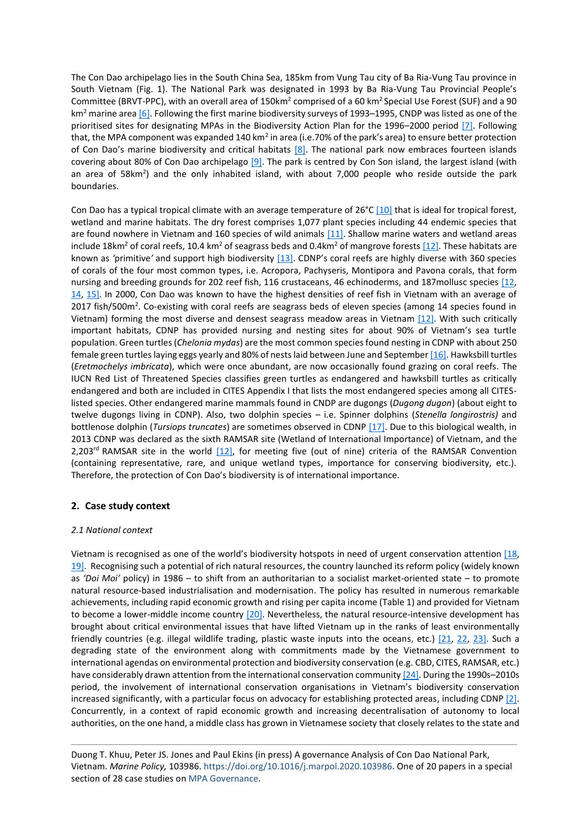The Con Dao archipelago lies in the South China Sea, 185km from Vung Tau city of Ba Ria-Vung Tau province in South Vietnam (Fig. 1). The National Park was designated in 1993 by Ba Ria-Vung Tau Provincial People's Committee (BRVT-PPC), with an overall area of 150km<sup>2</sup> comprised of a 60 km<sup>2</sup> Special Use Forest (SUF) and a 90 km<sup>2</sup> marine are[a \[6\].](#page-16-4) Following the first marine biodiversity surveys of 1993–1995, CNDP was listed as one of the prioritised sites for designating MPAs in the Biodiversity Action Plan for the 1996–2000 period [\[7\].](#page-16-5) Following that, the MPA component was expanded 140 km<sup>2</sup> in area (i.e.70% of the park's area) to ensure better protection of Con Dao's marine biodiversity and critical habitats  $[8]$ . The national park now embraces fourteen islands covering about 80% of Con Dao archipelago [\[9\].](#page-16-7) The park is centred by Con Son island, the largest island (with an area of 58km<sup>2</sup>) and the only inhabited island, with about 7,000 people who reside outside the park boundaries.

Con Dao has a typical tropical climate with an average temperature of 26°[C \[10\]](#page-16-8) that is ideal for tropical forest, wetland and marine habitats. The dry forest comprises 1,077 plant species including 44 endemic species that are found nowhere in Vietnam and 160 species of wild animals [\[11\].](#page-16-9) Shallow marine waters and wetland areas include 18km<sup>2</sup> of coral reefs, 10.4 km<sup>2</sup> of seagrass beds and 0.4km<sup>2</sup> of mangrove forest[s \[12\].](#page-16-10) These habitats are known as *'*primitive*'* and support high biodiversity [\[13\]](#page-16-11). CDNP's coral reefs are highly diverse with 360 species of corals of the four most common types, i.e. Acropora, Pachyseris, Montipora and Pavona corals, that form nursing and breeding grounds for 202 reef fish, 116 crustaceans, 46 echinoderms, and 187mollusc species [\[12,](#page-16-10) [14,](#page-10-0) [15\].](#page-16-12) In 2000, Con Dao was known to have the highest densities of reef fish in Vietnam with an average of 2017 fish/500m<sup>2</sup>. Co-existing with coral reefs are seagrass beds of eleven species (among 14 species found in Vietnam) forming the most diverse and densest seagrass meadow areas in Vietnam [\[12\].](#page-16-10) With such critically important habitats, CDNP has provided nursing and nesting sites for about 90% of Vietnam's sea turtle population. Green turtles (*Chelonia mydas*) are the most common species found nesting in CDNP with about 250 female green turtles laying eggs yearly and 80% of nests laid between June and Septembe[r \[16\].](#page-16-13) Hawksbill turtles (*Eretmochelys imbricata*), which were once abundant, are now occasionally found grazing on coral reefs. The IUCN Red List of Threatened Species classifies green turtles as endangered and hawksbill turtles as critically endangered and both are included in CITES Appendix I that lists the most endangered species among all CITESlisted species. Other endangered marine mammals found in CNDP are dugongs (*Dugong dugon*) (about eight to twelve dugongs living in CDNP). Also, two dolphin species – i.e. Spinner dolphins (*Stenella longirostris)* and bottlenose dolphin (*Tursiops truncates*) are sometimes observed in CDNP [\[17\].](#page-16-14) Due to this biological wealth, in 2013 CDNP was declared as the sixth RAMSAR site (Wetland of International Importance) of Vietnam, and the 2,203<sup>rd</sup> RAMSAR site in the world  $[12]$ , for meeting five (out of nine) criteria of the RAMSAR Convention (containing representative, rare, and unique wetland types, importance for conserving biodiversity, etc.). Therefore, the protection of Con Dao's biodiversity is of international importance.

## **2. Case study context**

#### *2.1 National context*

<span id="page-2-2"></span><span id="page-2-1"></span><span id="page-2-0"></span>Vietnam is recognised as one of the world's biodiversity hotspots in need of urgent conservation attention [\[18,](#page-16-15) [19\].](#page-16-16) Recognising such a potential of rich natural resources, the country launched its reform policy (widely known as *'Doi Moi'* policy) in 1986 – to shift from an authoritarian to a socialist market-oriented state – to promote natural resource-based industrialisation and modernisation. The policy has resulted in numerous remarkable achievements, including rapid economic growth and rising per capita income (Table 1) and provided for Vietnam to become a lower-middle income country [\[20\].](#page-16-17) Nevertheless, the natural resource-intensive development has brought about critical environmental issues that have lifted Vietnam up in the ranks of least environmentally friendly countries (e.g. illegal wildlife trading, plastic waste inputs into the oceans, etc.) [\[21,](#page-17-0) [22,](#page-2-0) [23\].](#page-2-1) Such a degrading state of the environment along with commitments made by the Vietnamese government to international agendas on environmental protection and biodiversity conservation (e.g. CBD, CITES, RAMSAR, etc.) have considerably drawn attention from the international conservation communit[y \[24\].](#page-2-2) During the 1990s-2010s period, the involvement of international conservation organisations in Vietnam's biodiversity conservation increased significantly, with a particular focus on advocacy for establishing protected areas, including CDNP [\[2\].](#page-16-1) Concurrently, in a context of rapid economic growth and increasing decentralisation of autonomy to local authorities, on the one hand, a middle class has grown in Vietnamese society that closely relates to the state and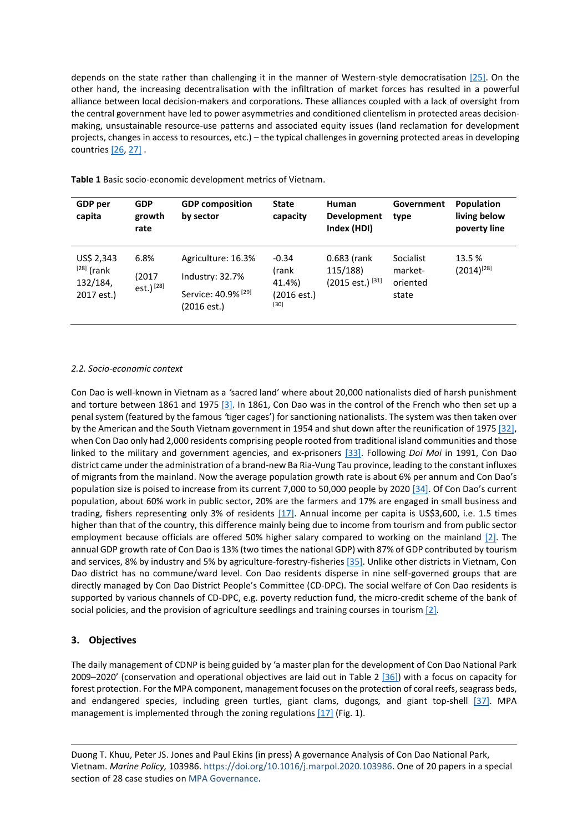depends on the state rather than challenging it in the manner of Western-style democratisation [\[25\].](#page-17-1) On the other hand, the increasing decentralisation with the infiltration of market forces has resulted in a powerful alliance between local decision-makers and corporations. These alliances coupled with a lack of oversight from the central government have led to power asymmetries and conditioned clientelism in protected areas decisionmaking, unsustainable resource-use patterns and associated equity issues (land reclamation for development projects, changes in access to resources, etc.) – the typical challenges in governing protected areas in developing countrie[s \[26,](#page-17-2) [27\]](#page-17-3) .

| GDP per<br>capita                                    | <b>GDP</b><br>growth<br>rate           | <b>GDP</b> composition<br>by sector                                                    | <b>State</b><br>capacity                           | Human<br><b>Development</b><br>Index (HDI)                | Government<br>type                        | <b>Population</b><br>living below<br>poverty line |
|------------------------------------------------------|----------------------------------------|----------------------------------------------------------------------------------------|----------------------------------------------------|-----------------------------------------------------------|-------------------------------------------|---------------------------------------------------|
| US\$ 2,343<br>$[28]$ (rank<br>132/184,<br>2017 est.) | 6.8%<br>(2017<br>est.) <sup>[28]</sup> | Agriculture: 16.3%<br>Industry: 32.7%<br>Service: 40.9% <sup>[29]</sup><br>(2016 est.) | $-0.34$<br>(rank<br>41.4%)<br>(2016est.)<br>$[30]$ | $0.683$ (rank<br>115/188)<br>$(2015 \text{ est.})^{[31]}$ | Socialist<br>market-<br>oriented<br>state | 13.5 %<br>$(2014)^{[28]}$                         |

**Table 1** Basic socio-economic development metrics of Vietnam.

## *2.2. Socio-economic context*

Con Dao is well-known in Vietnam as a *'*sacred land' where about 20,000 nationalists died of harsh punishment and torture between 1861 and 1975 [3]. In 1861, Con Dao was in the control of the French who then set up a penal system (featured by the famous *'*tiger cages') for sanctioning nationalists. The system was then taken over by the American and the South Vietnam government in 1954 and shut down after the reunification of 1975 [\[32\],](#page-17-4) when Con Dao only had 2,000 residents comprising people rooted from traditional island communities and those linked to the military and government agencies, and ex-prisoners [\[33\].](#page-17-5) Following *Doi Moi* in 1991, Con Dao district came under the administration of a brand-new Ba Ria-Vung Tau province, leading to the constant influxes of migrants from the mainland. Now the average population growth rate is about 6% per annum and Con Dao's population size is poised to increase from its current 7,000 to 50,000 people by 2020 [\[34\].](#page-17-6) Of Con Dao's current population, about 60% work in public sector, 20% are the farmers and 17% are engaged in small business and trading, fishers representing only 3% of residents [\[17\].](#page-16-14) Annual income per capita is US\$3,600, i.e. 1.5 times higher than that of the country, this difference mainly being due to income from tourism and from public sector employment because officials are offered 50% higher salary compared to working on the mainland [\[2\].](#page-16-1) The annual GDP growth rate of Con Dao is 13% (two timesthe national GDP) with 87% of GDP contributed by tourism and services, 8% by industry and 5% by agriculture-forestry-fisheries [\[35\].](#page-17-7) Unlike other districts in Vietnam, Con Dao district has no commune/ward level. Con Dao residents disperse in nine self-governed groups that are directly managed by Con Dao District People's Committee (CD-DPC). The social welfare of Con Dao residents is supported by various channels of CD-DPC, e.g. poverty reduction fund, the micro-credit scheme of the bank of social policies, and the provision of agriculture seedlings and training courses in tourism [\[2\].](#page-16-1)

# **3. Objectives**

The daily management of CDNP is being guided by 'a master plan for the development of Con Dao National Park 2009–2020' (conservation and operational objectives are laid out in Table 2 [\[36\]\)](#page-17-8) with a focus on capacity for forest protection. For the MPA component, management focuses on the protection of coral reefs, seagrass beds, and endangered species, including green turtles, giant clams, dugongs*,* and giant top-shell [\[37\].](#page-17-9) MPA management is implemented through the zoning regulations  $[17]$  (Fig. 1).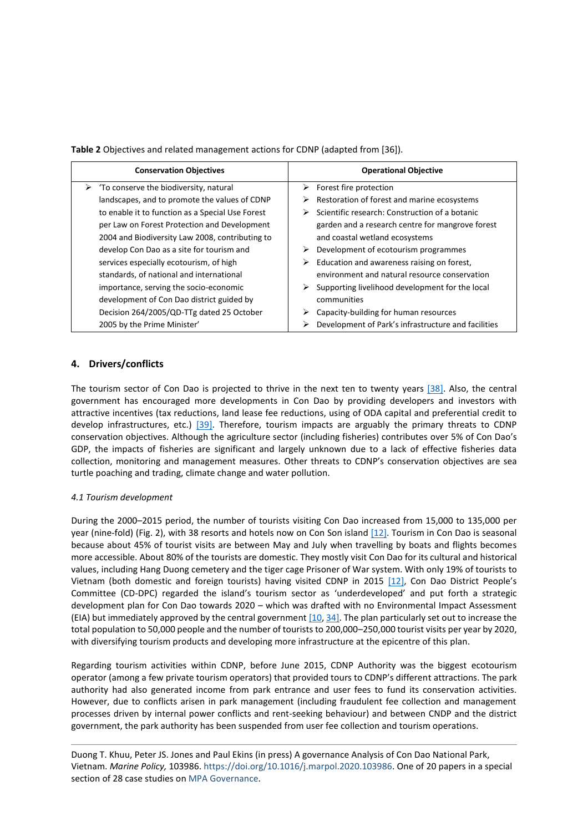**Table 2** Objectives and related management actions for CDNP (adapted from [36]).

| <b>Conservation Objectives</b>                          | <b>Operational Objective</b>                        |
|---------------------------------------------------------|-----------------------------------------------------|
| $\triangleright$ 'To conserve the biodiversity, natural | $\triangleright$ Forest fire protection             |
| landscapes, and to promote the values of CDNP           | Restoration of forest and marine ecosystems<br>➤    |
| to enable it to function as a Special Use Forest        | Scientific research: Construction of a botanic      |
| per Law on Forest Protection and Development            | garden and a research centre for mangrove forest    |
| 2004 and Biodiversity Law 2008, contributing to         | and coastal wetland ecosystems                      |
| develop Con Dao as a site for tourism and               | Development of ecotourism programmes                |
| services especially ecotourism, of high                 | Education and awareness raising on forest,          |
| standards, of national and international                | environment and natural resource conservation       |
| importance, serving the socio-economic                  | Supporting livelihood development for the local     |
| development of Con Dao district guided by               | communities                                         |
| Decision 264/2005/QD-TTg dated 25 October               | Capacity-building for human resources               |
| 2005 by the Prime Minister'                             | Development of Park's infrastructure and facilities |

# **4. Drivers/conflicts**

The tourism sector of Con Dao is projected to thrive in the next ten to twenty years [\[38\].](#page-17-10) Also, the central government has encouraged more developments in Con Dao by providing developers and investors with attractive incentives (tax reductions, land lease fee reductions, using of ODA capital and preferential credit to develop infrastructures, etc.) [\[39\].](#page-17-11) Therefore, tourism impacts are arguably the primary threats to CDNP conservation objectives. Although the agriculture sector (including fisheries) contributes over 5% of Con Dao's GDP, the impacts of fisheries are significant and largely unknown due to a lack of effective fisheries data collection, monitoring and management measures. Other threats to CDNP's conservation objectives are sea turtle poaching and trading, climate change and water pollution.

## *4.1 Tourism development*

During the 2000–2015 period, the number of tourists visiting Con Dao increased from 15,000 to 135,000 per year (nine-fold) (Fig. 2), with 38 resorts and hotels now on Con Son island [\[12\].](#page-16-10) Tourism in Con Dao is seasonal because about 45% of tourist visits are between May and July when travelling by boats and flights becomes more accessible. About 80% of the tourists are domestic. They mostly visit Con Dao for its cultural and historical values, including Hang Duong cemetery and the tiger cage Prisoner of War system. With only 19% of tourists to Vietnam (both domestic and foreign tourists) having visited CDNP in 2015 [\[12\]](#page-16-10), Con Dao District People's Committee (CD-DPC) regarded the island's tourism sector as 'underdeveloped' and put forth a strategic development plan for Con Dao towards 2020 – which was drafted with no Environmental Impact Assessment (EIA) but immediately approved by the central government  $[10, 34]$ . The plan particularly set out to increase the total population to 50,000 people and the number of tourists to 200,000–250,000 tourist visits per year by 2020, with diversifying tourism products and developing more infrastructure at the epicentre of this plan.

Regarding tourism activities within CDNP, before June 2015, CDNP Authority was the biggest ecotourism operator (among a few private tourism operators) that provided tours to CDNP's different attractions. The park authority had also generated income from park entrance and user fees to fund its conservation activities. However, due to conflicts arisen in park management (including fraudulent fee collection and management processes driven by internal power conflicts and rent-seeking behaviour) and between CNDP and the district government, the park authority has been suspended from user fee collection and tourism operations.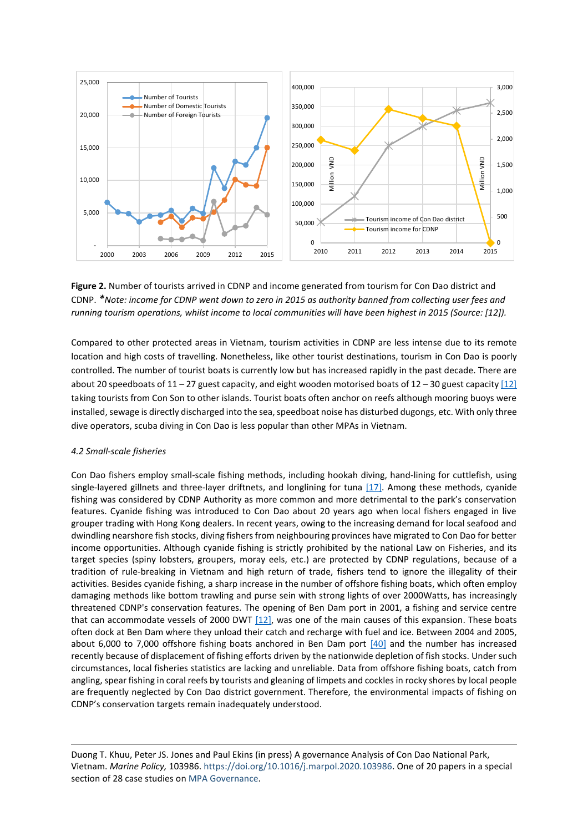

**Figure 2.** Number of tourists arrived in CDNP and income generated from tourism for Con Dao district and CDNP. *\*Note: income for CDNP went down to zero in 2015 as authority banned from collecting user fees and running tourism operations, whilst income to local communities will have been highest in 2015 (Source: [12]).* 

Compared to other protected areas in Vietnam, tourism activities in CDNP are less intense due to its remote location and high costs of travelling. Nonetheless, like other tourist destinations, tourism in Con Dao is poorly controlled. The number of tourist boats is currently low but has increased rapidly in the past decade. There are about 20 speedboats of 11 – 27 guest capacity, and eight wooden motorised boats of 12 – 30 guest capacity  $[12]$ taking tourists from Con Son to other islands. Tourist boats often anchor on reefs although mooring buoys were installed, sewage is directly discharged into the sea, speedboat noise has disturbed dugongs, etc. With only three dive operators, scuba diving in Con Dao is less popular than other MPAs in Vietnam.

## *4.2 Small-scale fisheries*

Con Dao fishers employ small-scale fishing methods, including hookah diving, hand-lining for cuttlefish, using single-layered gillnets and three-layer driftnets, and longlining for tuna  $[17]$ . Among these methods, cyanide fishing was considered by CDNP Authority as more common and more detrimental to the park's conservation features. Cyanide fishing was introduced to Con Dao about 20 years ago when local fishers engaged in live grouper trading with Hong Kong dealers. In recent years, owing to the increasing demand for local seafood and dwindling nearshore fish stocks, diving fishers from neighbouring provinces have migrated to Con Dao for better income opportunities. Although cyanide fishing is strictly prohibited by the national Law on Fisheries, and its target species (spiny lobsters, groupers, moray eels, etc.) are protected by CDNP regulations, because of a tradition of rule-breaking in Vietnam and high return of trade, fishers tend to ignore the illegality of their activities. Besides cyanide fishing, a sharp increase in the number of offshore fishing boats, which often employ damaging methods like bottom trawling and purse sein with strong lights of over 2000Watts, has increasingly threatened CDNP's conservation features. The opening of Ben Dam port in 2001, a fishing and service centre that can accommodate vessels of 2000 DWT [\[12\],](#page-16-10) was one of the main causes of this expansion. These boats often dock at Ben Dam where they unload their catch and recharge with fuel and ice. Between 2004 and 2005, about 6,000 to 7,000 offshore fishing boats anchored in Ben Dam port [\[40\]](#page-18-0) and the number has increased recently because of displacement of fishing efforts driven by the nationwide depletion of fish stocks. Under such circumstances, local fisheries statistics are lacking and unreliable. Data from offshore fishing boats, catch from angling, spear fishing in coral reefs by tourists and gleaning of limpets and cockles in rocky shores by local people are frequently neglected by Con Dao district government. Therefore, the environmental impacts of fishing on CDNP's conservation targets remain inadequately understood.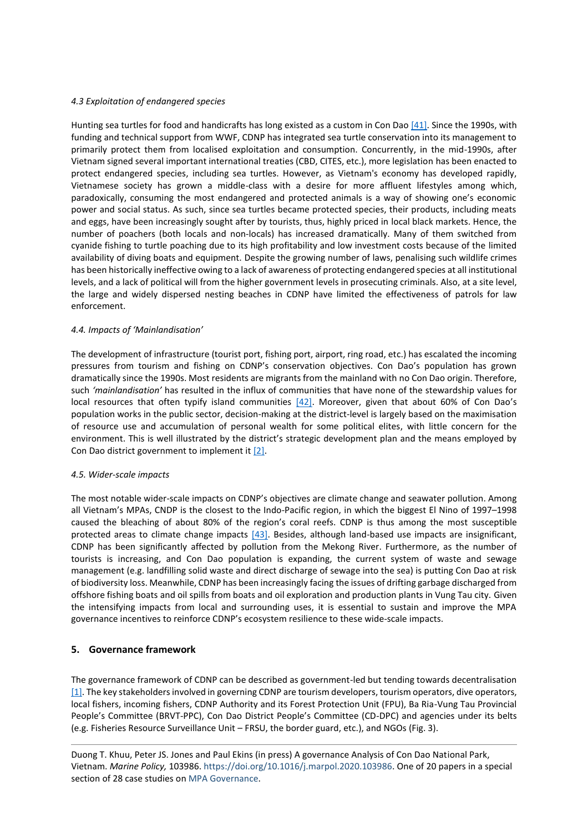## *4.3 Exploitation of endangered species*

Hunting sea turtles for food and handicrafts has long existed as a custom in Con Da[o \[41\].](#page-18-1) Since the 1990s, with funding and technical support from WWF, CDNP has integrated sea turtle conservation into its management to primarily protect them from localised exploitation and consumption. Concurrently, in the mid-1990s, after Vietnam signed several important international treaties (CBD, CITES, etc.), more legislation has been enacted to protect endangered species, including sea turtles. However, as Vietnam's economy has developed rapidly, Vietnamese society has grown a middle-class with a desire for more affluent lifestyles among which, paradoxically, consuming the most endangered and protected animals is a way of showing one's economic power and social status. As such, since sea turtles became protected species, their products, including meats and eggs, have been increasingly sought after by tourists, thus, highly priced in local black markets. Hence, the number of poachers (both locals and non-locals) has increased dramatically. Many of them switched from cyanide fishing to turtle poaching due to its high profitability and low investment costs because of the limited availability of diving boats and equipment. Despite the growing number of laws, penalising such wildlife crimes has been historically ineffective owing to a lack of awareness of protecting endangered species at all institutional levels, and a lack of political will from the higher government levels in prosecuting criminals. Also, at a site level, the large and widely dispersed nesting beaches in CDNP have limited the effectiveness of patrols for law enforcement.

#### *4.4. Impacts of 'Mainlandisation'*

The development of infrastructure (tourist port, fishing port, airport, ring road, etc.) has escalated the incoming pressures from tourism and fishing on CDNP's conservation objectives. Con Dao's population has grown dramatically since the 1990s. Most residents are migrants from the mainland with no Con Dao origin. Therefore, such *'mainlandisation'* has resulted in the influx of communities that have none of the stewardship values for local resources that often typify island communities [\[42\].](#page-18-2) Moreover, given that about 60% of Con Dao's population works in the public sector, decision-making at the district-level is largely based on the maximisation of resource use and accumulation of personal wealth for some political elites, with little concern for the environment. This is well illustrated by the district's strategic development plan and the means employed by Con Dao district government to implement it [\[2\].](#page-16-1)

#### *4.5. Wider-scale impacts*

The most notable wider-scale impacts on CDNP's objectives are climate change and seawater pollution. Among all Vietnam's MPAs, CNDP is the closest to the Indo-Pacific region, in which the biggest El Nino of 1997–1998 caused the bleaching of about 80% of the region's coral reefs. CDNP is thus among the most susceptible protected areas to climate change impacts [\[43\].](#page-18-3) Besides, although land-based use impacts are insignificant, CDNP has been significantly affected by pollution from the Mekong River. Furthermore, as the number of tourists is increasing, and Con Dao population is expanding, the current system of waste and sewage management (e.g. landfilling solid waste and direct discharge of sewage into the sea) is putting Con Dao at risk of biodiversity loss. Meanwhile, CDNP has been increasingly facing the issues of drifting garbage discharged from offshore fishing boats and oil spills from boats and oil exploration and production plants in Vung Tau city. Given the intensifying impacts from local and surrounding uses, it is essential to sustain and improve the MPA governance incentives to reinforce CDNP's ecosystem resilience to these wide-scale impacts.

## **5. Governance framework**

The governance framework of CDNP can be described as government-led but tending towards decentralisation  $[1]$ . The key stakeholders involved in governing CDNP are tourism developers, tourism operators, dive operators, local fishers, incoming fishers, CDNP Authority and its Forest Protection Unit (FPU), Ba Ria-Vung Tau Provincial People's Committee (BRVT-PPC), Con Dao District People's Committee (CD-DPC) and agencies under its belts (e.g. Fisheries Resource Surveillance Unit – FRSU, the border guard, etc.), and NGOs (Fig. 3).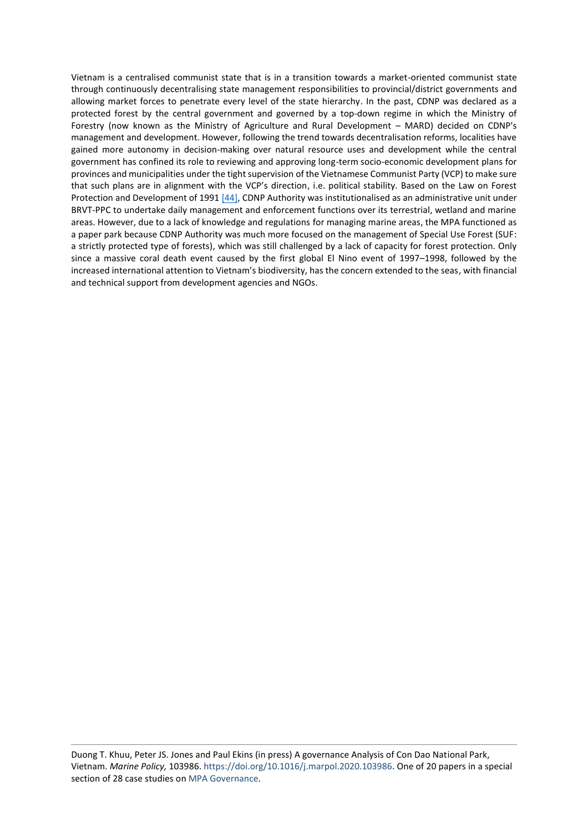Vietnam is a centralised communist state that is in a transition towards a market-oriented communist state through continuously decentralising state management responsibilities to provincial/district governments and allowing market forces to penetrate every level of the state hierarchy. In the past, CDNP was declared as a protected forest by the central government and governed by a top-down regime in which the Ministry of Forestry (now known as the Ministry of Agriculture and Rural Development – MARD) decided on CDNP's management and development. However, following the trend towards decentralisation reforms, localities have gained more autonomy in decision-making over natural resource uses and development while the central government has confined its role to reviewing and approving long-term socio-economic development plans for provinces and municipalities under the tight supervision of the Vietnamese Communist Party (VCP) to make sure that such plans are in alignment with the VCP's direction, i.e. political stability. Based on the Law on Forest Protection and Development of 1991 [\[44\],](#page-18-4) CDNP Authority was institutionalised as an administrative unit under BRVT-PPC to undertake daily management and enforcement functions over its terrestrial, wetland and marine areas. However, due to a lack of knowledge and regulations for managing marine areas, the MPA functioned as a paper park because CDNP Authority was much more focused on the management of Special Use Forest (SUF: a strictly protected type of forests), which was still challenged by a lack of capacity for forest protection. Only since a massive coral death event caused by the first global El Nino event of 1997–1998, followed by the increased international attention to Vietnam's biodiversity, has the concern extended to the seas, with financial and technical support from development agencies and NGOs.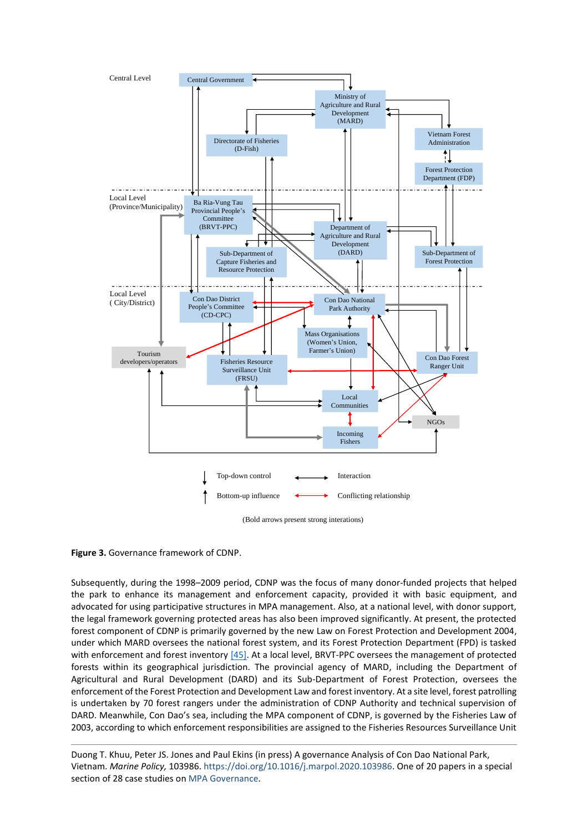

**Figure 3.** Governance framework of CDNP.

Subsequently, during the 1998–2009 period, CDNP was the focus of many donor-funded projects that helped the park to enhance its management and enforcement capacity, provided it with basic equipment, and advocated for using participative structures in MPA management. Also, at a national level, with donor support, the legal framework governing protected areas has also been improved significantly. At present, the protected forest component of CDNP is primarily governed by the new Law on Forest Protection and Development 2004, under which MARD oversees the national forest system, and its Forest Protection Department (FPD) is tasked with enforcement and forest inventory [\[45\].](#page-18-5) At a local level, BRVT-PPC oversees the management of protected forests within its geographical jurisdiction. The provincial agency of MARD, including the Department of Agricultural and Rural Development (DARD) and its Sub-Department of Forest Protection, oversees the enforcement of the Forest Protection and Development Law and forest inventory. At a site level, forest patrolling is undertaken by 70 forest rangers under the administration of CDNP Authority and technical supervision of DARD. Meanwhile, Con Dao's sea, including the MPA component of CDNP, is governed by the Fisheries Law of 2003, according to which enforcement responsibilities are assigned to the Fisheries Resources Surveillance Unit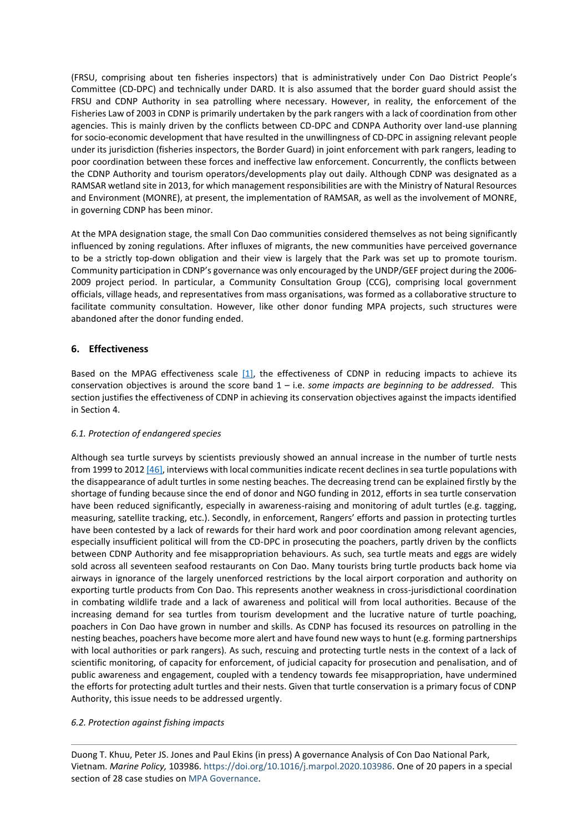(FRSU, comprising about ten fisheries inspectors) that is administratively under Con Dao District People's Committee (CD-DPC) and technically under DARD. It is also assumed that the border guard should assist the FRSU and CDNP Authority in sea patrolling where necessary. However, in reality, the enforcement of the Fisheries Law of 2003 in CDNP is primarily undertaken by the park rangers with a lack of coordination from other agencies. This is mainly driven by the conflicts between CD-DPC and CDNPA Authority over land-use planning for socio-economic development that have resulted in the unwillingness of CD-DPC in assigning relevant people under its jurisdiction (fisheries inspectors, the Border Guard) in joint enforcement with park rangers, leading to poor coordination between these forces and ineffective law enforcement. Concurrently, the conflicts between the CDNP Authority and tourism operators/developments play out daily. Although CDNP was designated as a RAMSAR wetland site in 2013, for which management responsibilities are with the Ministry of Natural Resources and Environment (MONRE), at present, the implementation of RAMSAR, as well as the involvement of MONRE, in governing CDNP has been minor.

At the MPA designation stage, the small Con Dao communities considered themselves as not being significantly influenced by zoning regulations. After influxes of migrants, the new communities have perceived governance to be a strictly top-down obligation and their view is largely that the Park was set up to promote tourism. Community participation in CDNP's governance was only encouraged by the UNDP/GEF project during the 2006- 2009 project period. In particular, a Community Consultation Group (CCG), comprising local government officials, village heads, and representatives from mass organisations, was formed as a collaborative structure to facilitate community consultation. However, like other donor funding MPA projects, such structures were abandoned after the donor funding ended.

# **6. Effectiveness**

Based on the MPAG effectiveness scale  $[1]$ , the effectiveness of CDNP in reducing impacts to achieve its conservation objectives is around the score band 1 – i.e. *some impacts are beginning to be addressed.* This section justifies the effectiveness of CDNP in achieving its conservation objectives against the impacts identified in Section 4.

## *6.1. Protection of endangered species*

Although sea turtle surveys by scientists previously showed an annual increase in the number of turtle nests from 1999 to 201[2 \[46\],](#page-18-6) interviews with local communities indicate recent declines in sea turtle populations with the disappearance of adult turtles in some nesting beaches. The decreasing trend can be explained firstly by the shortage of funding because since the end of donor and NGO funding in 2012, efforts in sea turtle conservation have been reduced significantly, especially in awareness-raising and monitoring of adult turtles (e.g. tagging, measuring, satellite tracking, etc.). Secondly, in enforcement, Rangers' efforts and passion in protecting turtles have been contested by a lack of rewards for their hard work and poor coordination among relevant agencies, especially insufficient political will from the CD-DPC in prosecuting the poachers, partly driven by the conflicts between CDNP Authority and fee misappropriation behaviours. As such, sea turtle meats and eggs are widely sold across all seventeen seafood restaurants on Con Dao. Many tourists bring turtle products back home via airways in ignorance of the largely unenforced restrictions by the local airport corporation and authority on exporting turtle products from Con Dao. This represents another weakness in cross-jurisdictional coordination in combating wildlife trade and a lack of awareness and political will from local authorities. Because of the increasing demand for sea turtles from tourism development and the lucrative nature of turtle poaching, poachers in Con Dao have grown in number and skills. As CDNP has focused its resources on patrolling in the nesting beaches, poachers have become more alert and have found new ways to hunt (e.g. forming partnerships with local authorities or park rangers). As such, rescuing and protecting turtle nests in the context of a lack of scientific monitoring, of capacity for enforcement, of judicial capacity for prosecution and penalisation, and of public awareness and engagement, coupled with a tendency towards fee misappropriation, have undermined the efforts for protecting adult turtles and their nests. Given that turtle conservation is a primary focus of CDNP Authority, this issue needs to be addressed urgently.

#### *6.2. Protection against fishing impacts*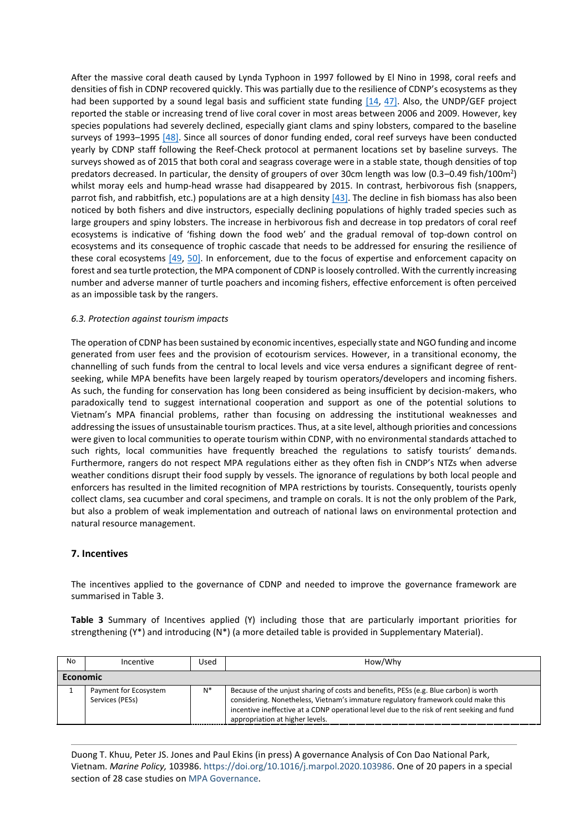<span id="page-10-0"></span>After the massive coral death caused by Lynda Typhoon in 1997 followed by El Nino in 1998, coral reefs and densities of fish in CDNP recovered quickly. This was partially due to the resilience of CDNP's ecosystems as they had been supported by a sound legal basis and sufficient state funding [\[14,](#page-10-0) [47\].](#page-18-7) Also, the UNDP/GEF project reported the stable or increasing trend of live coral cover in most areas between 2006 and 2009. However, key species populations had severely declined, especially giant clams and spiny lobsters, compared to the baseline surveys of 1993–1995 [\[48\].](#page-18-8) Since all sources of donor funding ended, coral reef surveys have been conducted yearly by CDNP staff following the Reef-Check protocol at permanent locations set by baseline surveys. The surveys showed as of 2015 that both coral and seagrass coverage were in a stable state, though densities of top predators decreased. In particular, the density of groupers of over 30cm length was low (0.3–0.49 fish/100m<sup>2</sup>) whilst moray eels and hump-head wrasse had disappeared by 2015. In contrast, herbivorous fish (snappers, parrot fish, and rabbitfish, etc.) populations are at a high density  $[43]$ . The decline in fish biomass has also been noticed by both fishers and dive instructors, especially declining populations of highly traded species such as large groupers and spiny lobsters. The increase in herbivorous fish and decrease in top predators of coral reef ecosystems is indicative of 'fishing down the food web' and the gradual removal of top-down control on ecosystems and its consequence of trophic cascade that needs to be addressed for ensuring the resilience of these coral ecosystems [\[49,](#page-18-9) [50\].](#page-10-1) In enforcement, due to the focus of expertise and enforcement capacity on forest and sea turtle protection, the MPA component of CDNP is loosely controlled. With the currently increasing number and adverse manner of turtle poachers and incoming fishers, effective enforcement is often perceived as an impossible task by the rangers.

## <span id="page-10-1"></span>*6.3. Protection against tourism impacts*

The operation of CDNP has been sustained by economic incentives, especially state and NGO funding and income generated from user fees and the provision of ecotourism services. However, in a transitional economy, the channelling of such funds from the central to local levels and vice versa endures a significant degree of rentseeking, while MPA benefits have been largely reaped by tourism operators/developers and incoming fishers. As such, the funding for conservation has long been considered as being insufficient by decision-makers, who paradoxically tend to suggest international cooperation and support as one of the potential solutions to Vietnam's MPA financial problems, rather than focusing on addressing the institutional weaknesses and addressing the issues of unsustainable tourism practices. Thus, at a site level, although priorities and concessions were given to local communities to operate tourism within CDNP, with no environmental standards attached to such rights, local communities have frequently breached the regulations to satisfy tourists' demands. Furthermore, rangers do not respect MPA regulations either as they often fish in CNDP's NTZs when adverse weather conditions disrupt their food supply by vessels. The ignorance of regulations by both local people and enforcers has resulted in the limited recognition of MPA restrictions by tourists. Consequently, tourists openly collect clams, sea cucumber and coral specimens, and trample on corals. It is not the only problem of the Park, but also a problem of weak implementation and outreach of national laws on environmental protection and natural resource management.

## **7. Incentives**

The incentives applied to the governance of CDNP and needed to improve the governance framework are summarised in Table 3.

**Table 3** Summary of Incentives applied (Y) including those that are particularly important priorities for strengthening (Y\*) and introducing (N\*) (a more detailed table is provided in Supplementary Material).

| No              | Incentive                                | Used | How/Why                                                                                                                                                                                                                                                                                                     |
|-----------------|------------------------------------------|------|-------------------------------------------------------------------------------------------------------------------------------------------------------------------------------------------------------------------------------------------------------------------------------------------------------------|
| <b>Economic</b> |                                          |      |                                                                                                                                                                                                                                                                                                             |
|                 | Payment for Ecosystem<br>Services (PESs) |      | Because of the unjust sharing of costs and benefits, PESs (e.g. Blue carbon) is worth<br>considering. Nonetheless, Vietnam's immature regulatory framework could make this<br>incentive ineffective at a CDNP operational level due to the risk of rent seeking and fund<br>appropriation at higher levels. |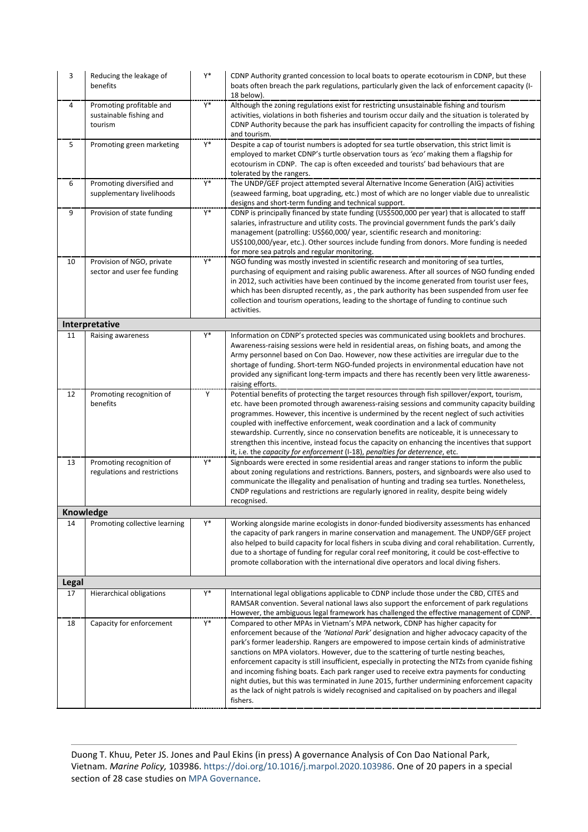| 3     | Reducing the leakage of<br>benefits                            | Y* | CDNP Authority granted concession to local boats to operate ecotourism in CDNP, but these<br>boats often breach the park regulations, particularly given the lack of enforcement capacity (I-<br>18 below).                                                                                                                                                                                                                                                                                                                                                                                                                                                                                                                                                                       |
|-------|----------------------------------------------------------------|----|-----------------------------------------------------------------------------------------------------------------------------------------------------------------------------------------------------------------------------------------------------------------------------------------------------------------------------------------------------------------------------------------------------------------------------------------------------------------------------------------------------------------------------------------------------------------------------------------------------------------------------------------------------------------------------------------------------------------------------------------------------------------------------------|
| 4     | Promoting profitable and<br>sustainable fishing and<br>tourism | Y* | Although the zoning regulations exist for restricting unsustainable fishing and tourism<br>activities, violations in both fisheries and tourism occur daily and the situation is tolerated by<br>CDNP Authority because the park has insufficient capacity for controlling the impacts of fishing<br>and tourism.                                                                                                                                                                                                                                                                                                                                                                                                                                                                 |
| 5     | Promoting green marketing                                      | Y* | Despite a cap of tourist numbers is adopted for sea turtle observation, this strict limit is<br>employed to market CDNP's turtle observation tours as 'eco' making them a flagship for<br>ecotourism in CDNP. The cap is often exceeded and tourists' bad behaviours that are<br>tolerated by the rangers.                                                                                                                                                                                                                                                                                                                                                                                                                                                                        |
| 6     | Promoting diversified and<br>supplementary livelihoods         | Y* | The UNDP/GEF project attempted several Alternative Income Generation (AIG) activities<br>(seaweed farming, boat upgrading, etc.) most of which are no longer viable due to unrealistic<br>designs and short-term funding and technical support.                                                                                                                                                                                                                                                                                                                                                                                                                                                                                                                                   |
| 9     | Provision of state funding                                     | Y* | CDNP is principally financed by state funding (US\$500,000 per year) that is allocated to staff<br>salaries, infrastructure and utility costs. The provincial government funds the park's daily<br>management (patrolling: US\$60,000/year, scientific research and monitoring:<br>US\$100,000/year, etc.). Other sources include funding from donors. More funding is needed<br>for more sea patrols and regular monitoring.                                                                                                                                                                                                                                                                                                                                                     |
| 10    | Provision of NGO, private<br>sector and user fee funding       | Y* | NGO funding was mostly invested in scientific research and monitoring of sea turtles,<br>purchasing of equipment and raising public awareness. After all sources of NGO funding ended<br>in 2012, such activities have been continued by the income generated from tourist user fees,<br>which has been disrupted recently, as, the park authority has been suspended from user fee<br>collection and tourism operations, leading to the shortage of funding to continue such<br>activities.                                                                                                                                                                                                                                                                                      |
|       | Interpretative                                                 |    |                                                                                                                                                                                                                                                                                                                                                                                                                                                                                                                                                                                                                                                                                                                                                                                   |
| 11    | Raising awareness                                              | Y* | Information on CDNP's protected species was communicated using booklets and brochures.<br>Awareness-raising sessions were held in residential areas, on fishing boats, and among the<br>Army personnel based on Con Dao. However, now these activities are irregular due to the<br>shortage of funding. Short-term NGO-funded projects in environmental education have not<br>provided any significant long-term impacts and there has recently been very little awareness-<br>raising efforts.                                                                                                                                                                                                                                                                                   |
| 12    | Promoting recognition of<br>benefits                           | Υ  | Potential benefits of protecting the target resources through fish spillover/export, tourism,<br>etc. have been promoted through awareness-raising sessions and community capacity building<br>programmes. However, this incentive is undermined by the recent neglect of such activities<br>coupled with ineffective enforcement, weak coordination and a lack of community<br>stewardship. Currently, since no conservation benefits are noticeable, it is unnecessary to<br>strengthen this incentive, instead focus the capacity on enhancing the incentives that support<br>it, i.e. the capacity for enforcement (I-18), penalties for deterrence, etc.                                                                                                                     |
| 13    | Promoting recognition of<br>regulations and restrictions       | Y* | Signboards were erected in some residential areas and ranger stations to inform the public<br>about zoning regulations and restrictions. Banners, posters, and signboards were also used to<br>communicate the illegality and penalisation of hunting and trading sea turtles. Nonetheless,<br>CNDP regulations and restrictions are regularly ignored in reality, despite being widely<br>recognised.                                                                                                                                                                                                                                                                                                                                                                            |
|       | Knowledge                                                      |    |                                                                                                                                                                                                                                                                                                                                                                                                                                                                                                                                                                                                                                                                                                                                                                                   |
| 14    | Promoting collective learning                                  | Y* | Working alongside marine ecologists in donor-funded biodiversity assessments has enhanced<br>the capacity of park rangers in marine conservation and management. The UNDP/GEF project<br>also helped to build capacity for local fishers in scuba diving and coral rehabilitation. Currently,<br>due to a shortage of funding for regular coral reef monitoring, it could be cost-effective to<br>promote collaboration with the international dive operators and local diving fishers.                                                                                                                                                                                                                                                                                           |
| Legal |                                                                |    |                                                                                                                                                                                                                                                                                                                                                                                                                                                                                                                                                                                                                                                                                                                                                                                   |
| 17    | Hierarchical obligations                                       | Y* | International legal obligations applicable to CDNP include those under the CBD, CITES and<br>RAMSAR convention. Several national laws also support the enforcement of park regulations<br>However, the ambiguous legal framework has challenged the effective management of CDNP.                                                                                                                                                                                                                                                                                                                                                                                                                                                                                                 |
| 18    | Capacity for enforcement                                       | Y* | Compared to other MPAs in Vietnam's MPA network, CDNP has higher capacity for<br>enforcement because of the 'National Park' designation and higher advocacy capacity of the<br>park's former leadership. Rangers are empowered to impose certain kinds of administrative<br>sanctions on MPA violators. However, due to the scattering of turtle nesting beaches,<br>enforcement capacity is still insufficient, especially in protecting the NTZs from cyanide fishing<br>and incoming fishing boats. Each park ranger used to receive extra payments for conducting<br>night duties, but this was terminated in June 2015, further undermining enforcement capacity<br>as the lack of night patrols is widely recognised and capitalised on by poachers and illegal<br>fishers. |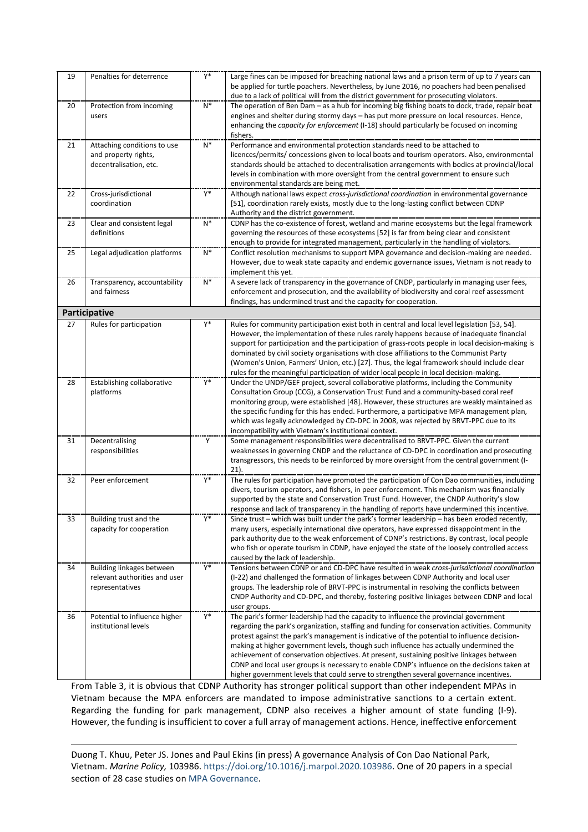| 19 | Penalties for deterrence                                                      | Y*    | Large fines can be imposed for breaching national laws and a prison term of up to 7 years can<br>be applied for turtle poachers. Nevertheless, by June 2016, no poachers had been penalised<br>due to a lack of political will from the district government for prosecuting violators.                                                                                                                                                                                                                                                                                                                                                                               |
|----|-------------------------------------------------------------------------------|-------|----------------------------------------------------------------------------------------------------------------------------------------------------------------------------------------------------------------------------------------------------------------------------------------------------------------------------------------------------------------------------------------------------------------------------------------------------------------------------------------------------------------------------------------------------------------------------------------------------------------------------------------------------------------------|
| 20 | Protection from incoming<br>users                                             | $N^*$ | The operation of Ben Dam - as a hub for incoming big fishing boats to dock, trade, repair boat<br>engines and shelter during stormy days - has put more pressure on local resources. Hence,<br>enhancing the capacity for enforcement (I-18) should particularly be focused on incoming<br>fishers.                                                                                                                                                                                                                                                                                                                                                                  |
| 21 | Attaching conditions to use<br>and property rights,<br>decentralisation, etc. | $N^*$ | Performance and environmental protection standards need to be attached to<br>licences/permits/ concessions given to local boats and tourism operators. Also, environmental<br>standards should be attached to decentralisation arrangements with bodies at provincial/local<br>levels in combination with more oversight from the central government to ensure such<br>environmental standards are being met.                                                                                                                                                                                                                                                        |
| 22 | Cross-jurisdictional<br>coordination                                          | Y*    | Although national laws expect cross-jurisdictional coordination in environmental governance<br>[51], coordination rarely exists, mostly due to the long-lasting conflict between CDNP<br>Authority and the district government.                                                                                                                                                                                                                                                                                                                                                                                                                                      |
| 23 | Clear and consistent legal<br>definitions                                     | $N^*$ | CDNP has the co-existence of forest, wetland and marine ecosystems but the legal framework<br>governing the resources of these ecosystems [52] is far from being clear and consistent<br>enough to provide for integrated management, particularly in the handling of violators.                                                                                                                                                                                                                                                                                                                                                                                     |
| 25 | Legal adjudication platforms                                                  | $N^*$ | Conflict resolution mechanisms to support MPA governance and decision-making are needed.<br>However, due to weak state capacity and endemic governance issues, Vietnam is not ready to<br>implement this yet.                                                                                                                                                                                                                                                                                                                                                                                                                                                        |
| 26 | Transparency, accountability<br>and fairness                                  | $N^*$ | A severe lack of transparency in the governance of CNDP, particularly in managing user fees,<br>enforcement and prosecution, and the availability of biodiversity and coral reef assessment<br>findings, has undermined trust and the capacity for cooperation.                                                                                                                                                                                                                                                                                                                                                                                                      |
|    | Participative                                                                 |       |                                                                                                                                                                                                                                                                                                                                                                                                                                                                                                                                                                                                                                                                      |
| 27 | Rules for participation                                                       | Y*    | Rules for community participation exist both in central and local level legislation [53, 54].<br>However, the implementation of these rules rarely happens because of inadequate financial<br>support for participation and the participation of grass-roots people in local decision-making is<br>dominated by civil society organisations with close affiliations to the Communist Party<br>(Women's Union, Farmers' Union, etc.) [27]. Thus, the legal framework should include clear<br>rules for the meaningful participation of wider local people in local decision-making.                                                                                   |
| 28 | Establishing collaborative<br>platforms                                       | Y*    | Under the UNDP/GEF project, several collaborative platforms, including the Community<br>Consultation Group (CCG), a Conservation Trust Fund and a community-based coral reef<br>monitoring group, were established [48]. However, these structures are weakly maintained as<br>the specific funding for this has ended. Furthermore, a participative MPA management plan,<br>which was legally acknowledged by CD-DPC in 2008, was rejected by BRVT-PPC due to its<br>incompatibility with Vietnam's institutional context.                                                                                                                                          |
| 31 | Decentralising<br>responsibilities                                            | Y     | Some management responsibilities were decentralised to BRVT-PPC. Given the current<br>weaknesses in governing CNDP and the reluctance of CD-DPC in coordination and prosecuting<br>transgressors, this needs to be reinforced by more oversight from the central government (I-<br>$21$ ).                                                                                                                                                                                                                                                                                                                                                                           |
| 32 | Peer enforcement                                                              | Y*    | The rules for participation have promoted the participation of Con Dao communities, including<br>divers, tourism operators, and fishers, in peer enforcement. This mechanism was financially<br>supported by the state and Conservation Trust Fund. However, the CNDP Authority's slow<br>response and lack of transparency in the handling of reports have undermined this incentive.                                                                                                                                                                                                                                                                               |
| 33 | Building trust and the<br>capacity for cooperation                            | Y*    | Since trust – which was built under the park's former leadership – has been eroded recently,<br>many users, especially international dive operators, have expressed disappointment in the<br>park authority due to the weak enforcement of CDNP's restrictions. By contrast, local people<br>who fish or operate tourism in CDNP, have enjoyed the state of the loosely controlled access<br>caused by the lack of leadership.                                                                                                                                                                                                                                       |
| 34 | Building linkages between<br>relevant authorities and user<br>representatives | Y*    | Tensions between CDNP or and CD-DPC have resulted in weak cross-jurisdictional coordination<br>(I-22) and challenged the formation of linkages between CDNP Authority and local user<br>groups. The leadership role of BRVT-PPC is instrumental in resolving the conflicts between<br>CNDP Authority and CD-DPC, and thereby, fostering positive linkages between CDNP and local<br>user groups.                                                                                                                                                                                                                                                                     |
| 36 | Potential to influence higher<br>institutional levels                         | Y*    | The park's former leadership had the capacity to influence the provincial government<br>regarding the park's organization, staffing and funding for conservation activities. Community<br>protest against the park's management is indicative of the potential to influence decision-<br>making at higher government levels, though such influence has actually undermined the<br>achievement of conservation objectives. At present, sustaining positive linkages between<br>CDNP and local user groups is necessary to enable CDNP's influence on the decisions taken at<br>higher government levels that could serve to strengthen several governance incentives. |

From Table 3, it is obvious that CDNP Authority has stronger political support than other independent MPAs in Vietnam because the MPA enforcers are mandated to impose administrative sanctions to a certain extent. Regarding the funding for park management, CDNP also receives a higher amount of state funding (I-9). However, the funding is insufficient to cover a full array of management actions. Hence, ineffective enforcement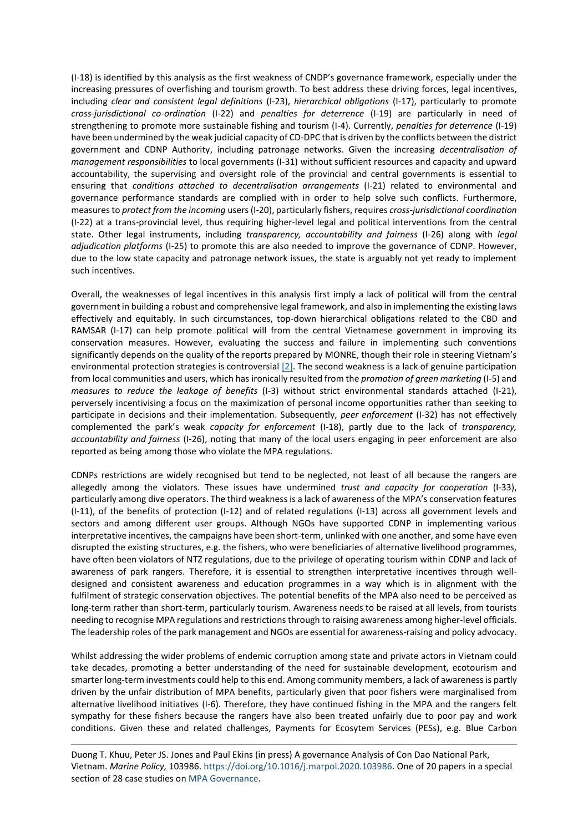(I-18) is identified by this analysis as the first weakness of CNDP's governance framework, especially under the increasing pressures of overfishing and tourism growth. To best address these driving forces, legal incentives, including *clear and consistent legal definitions* (I-23), *hierarchical obligations* (I-17), particularly to promote *cross-jurisdictional co-ordination* (I-22) and *penalties for deterrence* (I-19) are particularly in need of strengthening to promote more sustainable fishing and tourism (I-4). Currently, *penalties for deterrence* (I-19) have been undermined by the weak judicial capacity of CD-DPC that is driven by the conflicts between the district government and CDNP Authority, including patronage networks. Given the increasing *decentralisation of management responsibilities* to local governments (I-31) without sufficient resources and capacity and upward accountability, the supervising and oversight role of the provincial and central governments is essential to ensuring that *conditions attached to decentralisation arrangements* (I-21) related to environmental and governance performance standards are complied with in order to help solve such conflicts. Furthermore, measures to *protect from the incoming* users(I-20), particularly fishers, requires *cross-jurisdictional coordination* (I-22) at a trans-provincial level, thus requiring higher-level legal and political interventions from the central state. Other legal instruments, including *transparency, accountability and fairness* (I-26) along with *legal adjudication platforms* (I-25) to promote this are also needed to improve the governance of CDNP. However, due to the low state capacity and patronage network issues, the state is arguably not yet ready to implement such incentives.

Overall, the weaknesses of legal incentives in this analysis first imply a lack of political will from the central government in building a robust and comprehensive legal framework, and also in implementing the existing laws effectively and equitably. In such circumstances, top-down hierarchical obligations related to the CBD and RAMSAR (I-17) can help promote political will from the central Vietnamese government in improving its conservation measures. However, evaluating the success and failure in implementing such conventions significantly depends on the quality of the reports prepared by MONRE, though their role in steering Vietnam's environmental protection strategies is controversial  $[2]$ . The second weakness is a lack of genuine participation from local communities and users, which has ironically resulted from the *promotion of green marketing* (I-5) and *measures to reduce the leakage of benefits* (I-3) without strict environmental standards attached (I-21), perversely incentivising a focus on the maximization of personal income opportunities rather than seeking to participate in decisions and their implementation. Subsequently, *peer enforcement* (I-32) has not effectively complemented the park's weak *capacity for enforcement* (I-18), partly due to the lack of *transparency, accountability and fairness* (I-26), noting that many of the local users engaging in peer enforcement are also reported as being among those who violate the MPA regulations.

CDNPs restrictions are widely recognised but tend to be neglected, not least of all because the rangers are allegedly among the violators. These issues have undermined *trust and capacity for cooperation* (I-33), particularly among dive operators. The third weakness is a lack of awareness of the MPA's conservation features (I-11), of the benefits of protection (I-12) and of related regulations (I-13) across all government levels and sectors and among different user groups. Although NGOs have supported CDNP in implementing various interpretative incentives, the campaigns have been short-term, unlinked with one another, and some have even disrupted the existing structures, e.g. the fishers, who were beneficiaries of alternative livelihood programmes, have often been violators of NTZ regulations, due to the privilege of operating tourism within CDNP and lack of awareness of park rangers. Therefore, it is essential to strengthen interpretative incentives through welldesigned and consistent awareness and education programmes in a way which is in alignment with the fulfilment of strategic conservation objectives. The potential benefits of the MPA also need to be perceived as long-term rather than short-term, particularly tourism. Awareness needs to be raised at all levels, from tourists needing to recognise MPA regulations and restrictions through to raising awareness among higher-level officials. The leadership roles of the park management and NGOs are essential for awareness-raising and policy advocacy.

Whilst addressing the wider problems of endemic corruption among state and private actors in Vietnam could take decades, promoting a better understanding of the need for sustainable development, ecotourism and smarter long-term investments could help to this end. Among community members, a lack of awareness is partly driven by the unfair distribution of MPA benefits, particularly given that poor fishers were marginalised from alternative livelihood initiatives (I-6). Therefore, they have continued fishing in the MPA and the rangers felt sympathy for these fishers because the rangers have also been treated unfairly due to poor pay and work conditions. Given these and related challenges, Payments for Ecosytem Services (PESs), e.g. Blue Carbon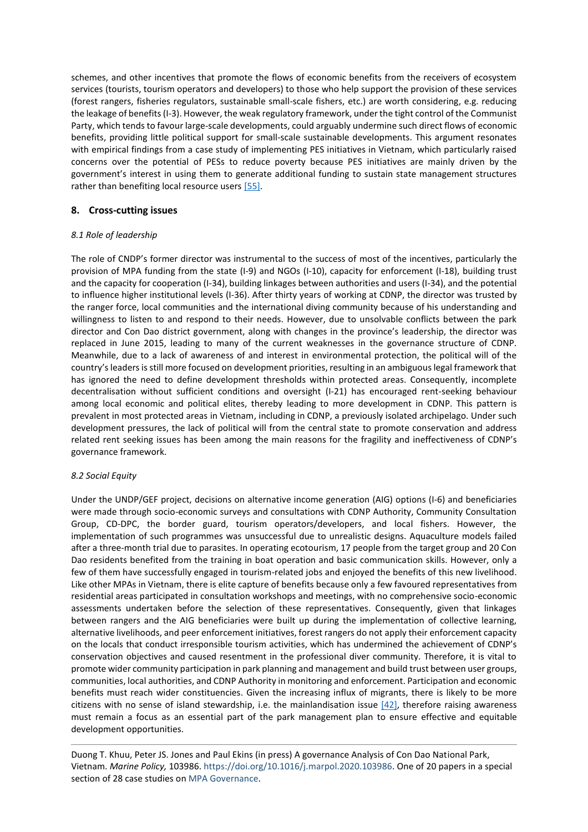schemes, and other incentives that promote the flows of economic benefits from the receivers of ecosystem services (tourists, tourism operators and developers) to those who help support the provision of these services (forest rangers, fisheries regulators, sustainable small-scale fishers, etc.) are worth considering, e.g. reducing the leakage of benefits (I-3). However, the weak regulatory framework, under the tight control of the Communist Party, which tends to favour large-scale developments, could arguably undermine such direct flows of economic benefits, providing little political support for small-scale sustainable developments. This argument resonates with empirical findings from a case study of implementing PES initiatives in Vietnam, which particularly raised concerns over the potential of PESs to reduce poverty because PES initiatives are mainly driven by the government's interest in using them to generate additional funding to sustain state management structures rather than benefiting local resource users [\[55\].](#page-18-10)

## **8. Cross-cutting issues**

## *8.1 Role of leadership*

The role of CNDP's former director was instrumental to the success of most of the incentives, particularly the provision of MPA funding from the state (I-9) and NGOs (I-10), capacity for enforcement (I-18), building trust and the capacity for cooperation (I-34), building linkages between authorities and users (I-34), and the potential to influence higher institutional levels (I-36). After thirty years of working at CDNP, the director was trusted by the ranger force, local communities and the international diving community because of his understanding and willingness to listen to and respond to their needs. However, due to unsolvable conflicts between the park director and Con Dao district government, along with changes in the province's leadership, the director was replaced in June 2015, leading to many of the current weaknesses in the governance structure of CDNP. Meanwhile, due to a lack of awareness of and interest in environmental protection, the political will of the country's leaders is still more focused on development priorities, resulting in an ambiguous legal framework that has ignored the need to define development thresholds within protected areas. Consequently, incomplete decentralisation without sufficient conditions and oversight (I-21) has encouraged rent-seeking behaviour among local economic and political elites, thereby leading to more development in CDNP. This pattern is prevalent in most protected areas in Vietnam, including in CDNP, a previously isolated archipelago. Under such development pressures, the lack of political will from the central state to promote conservation and address related rent seeking issues has been among the main reasons for the fragility and ineffectiveness of CDNP's governance framework.

## *8.2 Social Equity*

Under the UNDP/GEF project, decisions on alternative income generation (AIG) options (I-6) and beneficiaries were made through socio-economic surveys and consultations with CDNP Authority, Community Consultation Group, CD-DPC, the border guard, tourism operators/developers, and local fishers. However, the implementation of such programmes was unsuccessful due to unrealistic designs. Aquaculture models failed after a three-month trial due to parasites. In operating ecotourism, 17 people from the target group and 20 Con Dao residents benefited from the training in boat operation and basic communication skills. However, only a few of them have successfully engaged in tourism-related jobs and enjoyed the benefits of this new livelihood. Like other MPAs in Vietnam, there is elite capture of benefits because only a few favoured representatives from residential areas participated in consultation workshops and meetings, with no comprehensive socio-economic assessments undertaken before the selection of these representatives. Consequently, given that linkages between rangers and the AIG beneficiaries were built up during the implementation of collective learning, alternative livelihoods, and peer enforcement initiatives, forest rangers do not apply their enforcement capacity on the locals that conduct irresponsible tourism activities, which has undermined the achievement of CDNP's conservation objectives and caused resentment in the professional diver community. Therefore, it is vital to promote wider community participation in park planning and management and build trust between user groups, communities, local authorities, and CDNP Authority in monitoring and enforcement. Participation and economic benefits must reach wider constituencies. Given the increasing influx of migrants, there is likely to be more citizens with no sense of island stewardship, i.e. the mainlandisation issue  $[42]$ , therefore raising awareness must remain a focus as an essential part of the park management plan to ensure effective and equitable development opportunities.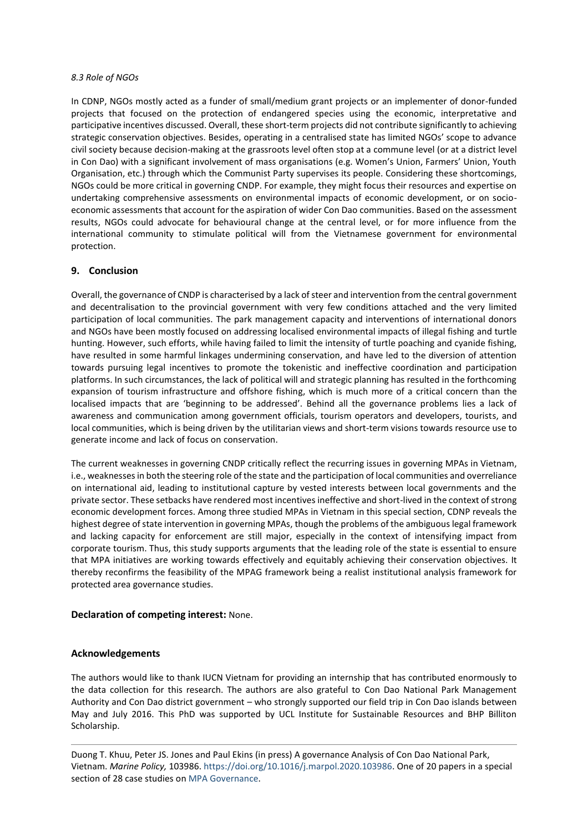#### *8.3 Role of NGOs*

In CDNP, NGOs mostly acted as a funder of small/medium grant projects or an implementer of donor-funded projects that focused on the protection of endangered species using the economic, interpretative and participative incentives discussed. Overall, these short-term projects did not contribute significantly to achieving strategic conservation objectives. Besides, operating in a centralised state has limited NGOs' scope to advance civil society because decision-making at the grassroots level often stop at a commune level (or at a district level in Con Dao) with a significant involvement of mass organisations (e.g. Women's Union, Farmers' Union, Youth Organisation, etc.) through which the Communist Party supervises its people. Considering these shortcomings, NGOs could be more critical in governing CNDP. For example, they might focus their resources and expertise on undertaking comprehensive assessments on environmental impacts of economic development, or on socioeconomic assessments that account for the aspiration of wider Con Dao communities. Based on the assessment results, NGOs could advocate for behavioural change at the central level, or for more influence from the international community to stimulate political will from the Vietnamese government for environmental protection.

## **9. Conclusion**

Overall, the governance of CNDP is characterised by a lack of steer and intervention from the central government and decentralisation to the provincial government with very few conditions attached and the very limited participation of local communities. The park management capacity and interventions of international donors and NGOs have been mostly focused on addressing localised environmental impacts of illegal fishing and turtle hunting. However, such efforts, while having failed to limit the intensity of turtle poaching and cyanide fishing, have resulted in some harmful linkages undermining conservation, and have led to the diversion of attention towards pursuing legal incentives to promote the tokenistic and ineffective coordination and participation platforms. In such circumstances, the lack of political will and strategic planning has resulted in the forthcoming expansion of tourism infrastructure and offshore fishing, which is much more of a critical concern than the localised impacts that are 'beginning to be addressed'. Behind all the governance problems lies a lack of awareness and communication among government officials, tourism operators and developers, tourists, and local communities, which is being driven by the utilitarian views and short-term visions towards resource use to generate income and lack of focus on conservation.

The current weaknesses in governing CNDP critically reflect the recurring issues in governing MPAs in Vietnam, i.e., weaknesses in both the steering role of the state and the participation of local communities and overreliance on international aid, leading to institutional capture by vested interests between local governments and the private sector. These setbacks have rendered most incentives ineffective and short-lived in the context of strong economic development forces. Among three studied MPAs in Vietnam in this special section, CDNP reveals the highest degree of state intervention in governing MPAs, though the problems of the ambiguous legal framework and lacking capacity for enforcement are still major, especially in the context of intensifying impact from corporate tourism. Thus, this study supports arguments that the leading role of the state is essential to ensure that MPA initiatives are working towards effectively and equitably achieving their conservation objectives. It thereby reconfirms the feasibility of the MPAG framework being a realist institutional analysis framework for protected area governance studies.

## **Declaration of competing interest:** None.

## **Acknowledgements**

The authors would like to thank IUCN Vietnam for providing an internship that has contributed enormously to the data collection for this research. The authors are also grateful to Con Dao National Park Management Authority and Con Dao district government – who strongly supported our field trip in Con Dao islands between May and July 2016. This PhD was supported by UCL Institute for Sustainable Resources and BHP Billiton Scholarship.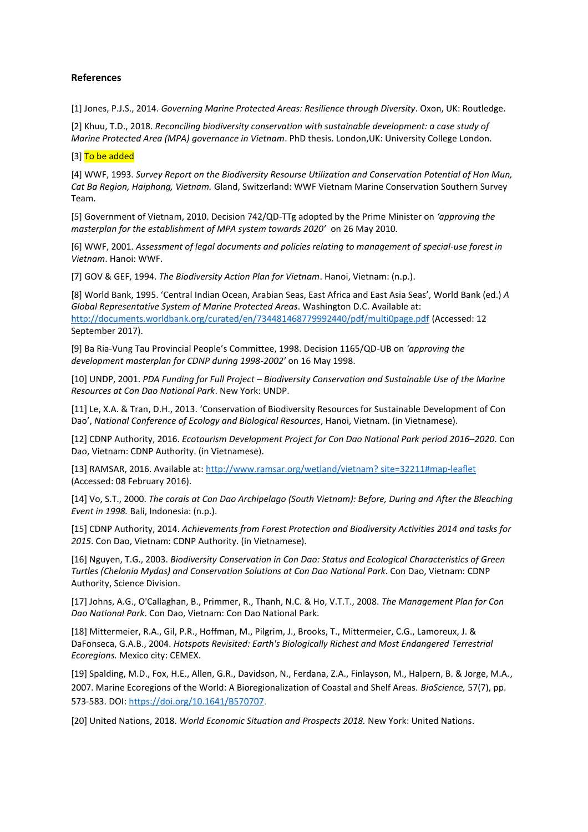## **References**

<span id="page-16-0"></span>[1] Jones, P.J.S., 2014. *Governing Marine Protected Areas: Resilience through Diversity*. Oxon, UK: Routledge.

<span id="page-16-1"></span>[2] Khuu, T.D., 2018. *Reconciling biodiversity conservation with sustainable development: a case study of Marine Protected Area (MPA) governance in Vietnam*. PhD thesis. London,UK: University College London.

#### [3] To be added

<span id="page-16-2"></span>[4] WWF, 1993. *Survey Report on the Biodiversity Resourse Utilization and Conservation Potential of Hon Mun, Cat Ba Region, Haiphong, Vietnam.* Gland, Switzerland: WWF Vietnam Marine Conservation Southern Survey Team.

<span id="page-16-3"></span>[5] Government of Vietnam, 2010. Decision 742/QD-TTg adopted by the Prime Minister on *'approving the masterplan for the establishment of MPA system towards 2020'* on 26 May 2010*.*

<span id="page-16-4"></span>[6] WWF, 2001. *Assessment of legal documents and policies relating to management of special-use forest in Vietnam*. Hanoi: WWF.

<span id="page-16-5"></span>[7] GOV & GEF, 1994. *The Biodiversity Action Plan for Vietnam*. Hanoi, Vietnam: (n.p.).

<span id="page-16-6"></span>[8] World Bank, 1995. 'Central Indian Ocean, Arabian Seas, East Africa and East Asia Seas', World Bank (ed.) *A Global Representative System of Marine Protected Areas*. Washington D.C. Available at: <http://documents.worldbank.org/curated/en/734481468779992440/pdf/multi0page.pdf> (Accessed: 12 September 2017).

<span id="page-16-7"></span>[9] Ba Ria-Vung Tau Provincial People's Committee, 1998. Decision 1165/QD-UB on *'approving the development masterplan for CDNP during 1998-2002'* on 16 May 1998.

<span id="page-16-8"></span>[10] UNDP, 2001. *PDA Funding for Full Project – Biodiversity Conservation and Sustainable Use of the Marine Resources at Con Dao National Park*. New York: UNDP.

<span id="page-16-9"></span>[11] Le, X.A. & Tran, D.H., 2013. 'Conservation of Biodiversity Resources for Sustainable Development of Con Dao', *National Conference of Ecology and Biological Resources*, Hanoi, Vietnam. (in Vietnamese).

<span id="page-16-10"></span>[12] CDNP Authority, 2016. *Ecotourism Development Project for Con Dao National Park period 2016–2020*. Con Dao, Vietnam: CDNP Authority. (in Vietnamese).

<span id="page-16-11"></span>[13] RAMSAR, 2016. Available at: [http://www.ramsar.org/wetland/vietnam?](http://www.ramsar.org/wetland/vietnam) site=32211#map-leaflet (Accessed: 08 February 2016).

[14] Vo, S.T., 2000. *The corals at Con Dao Archipelago (South Vietnam): Before, During and After the Bleaching Event in 1998.* Bali, Indonesia: (n.p.).

<span id="page-16-12"></span>[15] CDNP Authority, 2014. *Achievements from Forest Protection and Biodiversity Activities 2014 and tasks for 2015*. Con Dao, Vietnam: CDNP Authority. (in Vietnamese).

<span id="page-16-13"></span>[16] Nguyen, T.G., 2003. *Biodiversity Conservation in Con Dao: Status and Ecological Characteristics of Green Turtles (Chelonia Mydas) and Conservation Solutions at Con Dao National Park*. Con Dao, Vietnam: CDNP Authority, Science Division.

<span id="page-16-14"></span>[17] Johns, A.G., O'Callaghan, B., Primmer, R., Thanh, N.C. & Ho, V.T.T., 2008. *The Management Plan for Con Dao National Park*. Con Dao, Vietnam: Con Dao National Park.

<span id="page-16-15"></span>[18] Mittermeier, R.A., Gil, P.R., Hoffman, M., Pilgrim, J., Brooks, T., Mittermeier, C.G., Lamoreux, J. & DaFonseca, G.A.B., 2004. *Hotspots Revisited: Earth's Biologically Richest and Most Endangered Terrestrial Ecoregions.* Mexico city: CEMEX.

<span id="page-16-16"></span>[19] Spalding, M.D., Fox, H.E., Allen, G.R., Davidson, N., Ferdana, Z.A., Finlayson, M., Halpern, B. & Jorge, M.A., 2007. Marine Ecoregions of the World: A Bioregionalization of Coastal and Shelf Areas. *BioScience,* 57(7), pp. 573-583. DOI[: https://doi.org/10.1641/B570707](https://doi.org/10.1641/B570707).

<span id="page-16-17"></span>[20] United Nations, 2018. *World Economic Situation and Prospects 2018.* New York: United Nations.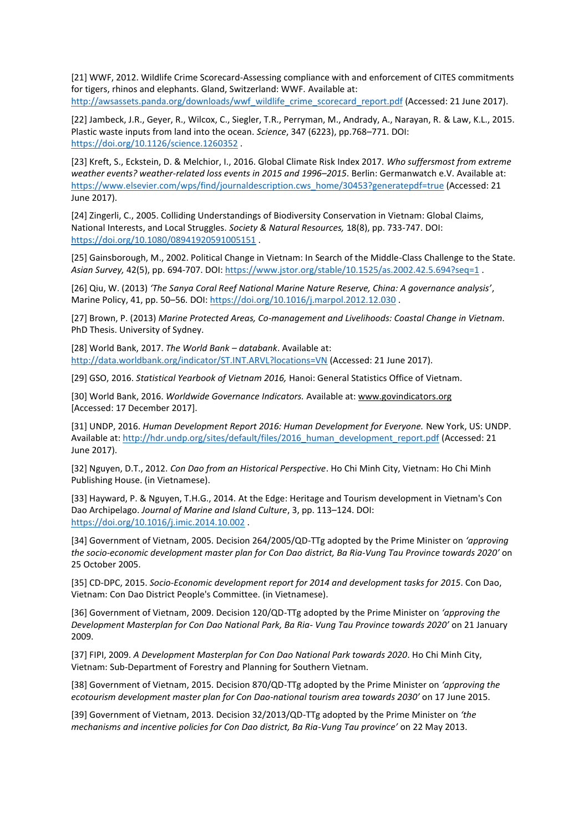<span id="page-17-0"></span>[21] WWF, 2012. Wildlife Crime Scorecard-Assessing compliance with and enforcement of CITES commitments for tigers, rhinos and elephants. Gland, Switzerland: WWF. Available at: [http://awsassets.panda.org/downloads/wwf\\_wildlife\\_crime\\_scorecard\\_report.pdf](http://awsassets.panda.org/downloads/wwf_wildlife_crime_scorecard_report.pdf) (Accessed: 21 June 2017).

[22] Jambeck, J.R., Geyer, R., Wilcox, C., Siegler, T.R., Perryman, M., Andrady, A., Narayan, R. & Law, K.L., 2015. Plastic waste inputs from land into the ocean. *Science*, 347 (6223), pp.768–771. DOI: [https://doi.org/10.1126/science.1260352](https://science.sciencemag.org/content/347/6223/768) .

[23] Kreft, S., Eckstein, D. & Melchior, I., 2016. Global Climate Risk Index 2017. *Who suffersmost from extreme weather events? weather-related loss events in 2015 and 1996–2015*. Berlin: Germanwatch e.V. Available at: [https://www.elsevier.com/wps/find/journaldescription.cws\\_home/30453?generatepdf=true](https://www.elsevier.com/wps/find/journaldescription.cws_home/30453?generatepdf=true) (Accessed: 21 June 2017).

[24] Zingerli, C., 2005. Colliding Understandings of Biodiversity Conservation in Vietnam: Global Claims, National Interests, and Local Struggles. *Society & Natural Resources,* 18(8), pp. 733-747. DOI: <https://doi.org/10.1080/08941920591005151> .

<span id="page-17-1"></span>[25] Gainsborough, M., 2002. Political Change in Vietnam: In Search of the Middle-Class Challenge to the State. *Asian Survey,* 42(5), pp. 694-707. DOI:<https://www.jstor.org/stable/10.1525/as.2002.42.5.694?seq=1> .

<span id="page-17-2"></span>[26] Qiu, W. (2013) *'The Sanya Coral Reef National Marine Nature Reserve, China: A governance analysis'*, Marine Policy, 41, pp. 50–56. DOI: <https://doi.org/10.1016/j.marpol.2012.12.030> .

<span id="page-17-3"></span>[27] Brown, P. (2013) *Marine Protected Areas, Co-management and Livelihoods: Coastal Change in Vietnam*. PhD Thesis. University of Sydney.

[28] World Bank, 2017. *The World Bank – databank*. Available at: http://data.worldbank.org/indicator/ST.INT.ARVL?locations=VN (Accessed: 21 June 2017).

[29] GSO, 2016. *Statistical Yearbook of Vietnam 2016,* Hanoi: General Statistics Office of Vietnam.

[30] World Bank, 2016. *Worldwide Governance Indicators.* Available at: www.govindicators.org [Accessed: 17 December 2017].

[31] UNDP, 2016. *Human Development Report 2016: Human Development for Everyone.* New York, US: UNDP. Available at[: http://hdr.undp.org/sites/default/files/2016\\_human\\_development\\_report.pdf](http://hdr.undp.org/sites/default/files/2016_human_development_report.pdf) (Accessed: 21 June 2017).

<span id="page-17-4"></span>[32] Nguyen, D.T., 2012. *Con Dao from an Historical Perspective*. Ho Chi Minh City, Vietnam: Ho Chi Minh Publishing House. (in Vietnamese).

<span id="page-17-5"></span>[33] Hayward, P. & Nguyen, T.H.G., 2014. At the Edge: Heritage and Tourism development in Vietnam's Con Dao Archipelago. *Journal of Marine and Island Culture*, 3, pp. 113–124. DOI: <https://doi.org/10.1016/j.imic.2014.10.002> .

<span id="page-17-6"></span>[34] Government of Vietnam, 2005. Decision 264/2005/QD-TTg adopted by the Prime Minister on *'approving the socio-economic development master plan for Con Dao district, Ba Ria-Vung Tau Province towards 2020'* on 25 October 2005.

<span id="page-17-7"></span>[35] CD-DPC, 2015. *Socio-Economic development report for 2014 and development tasks for 2015*. Con Dao, Vietnam: Con Dao District People's Committee. (in Vietnamese).

<span id="page-17-8"></span>[36] Government of Vietnam, 2009. Decision 120/QD-TTg adopted by the Prime Minister on *'approving the Development Masterplan for Con Dao National Park, Ba Ria- Vung Tau Province towards 2020'* on 21 January 2009.

<span id="page-17-9"></span>[37] FIPI, 2009. *A Development Masterplan for Con Dao National Park towards 2020*. Ho Chi Minh City, Vietnam: Sub-Department of Forestry and Planning for Southern Vietnam.

<span id="page-17-10"></span>[38] Government of Vietnam, 2015. Decision 870/QD-TTg adopted by the Prime Minister on *'approving the ecotourism development master plan for Con Dao-national tourism area towards 2030'* on 17 June 2015.

<span id="page-17-11"></span>[39] Government of Vietnam, 2013. Decision 32/2013/QD-TTg adopted by the Prime Minister on *'the mechanisms and incentive policies for Con Dao district, Ba Ria-Vung Tau province'* on 22 May 2013.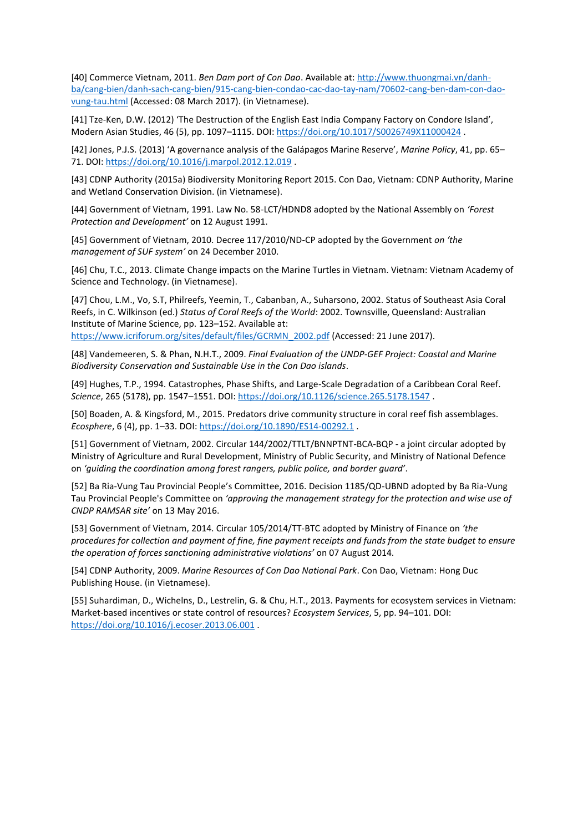<span id="page-18-0"></span>[40] Commerce Vietnam, 2011. *Ben Dam port of Con Dao*. Available at: http://www.thuongmai.vn/danhba/cang-bien/danh-sach-cang-bien/915-cang-bien-condao-cac-dao-tay-nam/70602-cang-ben-dam-con-daovung-tau.html (Accessed: 08 March 2017). (in Vietnamese).

<span id="page-18-1"></span>[41] Tze-Ken, D.W. (2012) 'The Destruction of the English East India Company Factory on Condore Island', Modern Asian Studies, 46 (5), pp. 1097–1115. DOI:<https://doi.org/10.1017/S0026749X11000424> .

<span id="page-18-2"></span>[42] Jones, P.J.S. (2013) 'A governance analysis of the Galápagos Marine Reserve', *Marine Policy*, 41, pp. 65– 71. DOI:<https://doi.org/10.1016/j.marpol.2012.12.019> .

<span id="page-18-3"></span>[43] CDNP Authority (2015a) Biodiversity Monitoring Report 2015. Con Dao, Vietnam: CDNP Authority, Marine and Wetland Conservation Division. (in Vietnamese).

<span id="page-18-4"></span>[44] Government of Vietnam, 1991. Law No. 58-LCT/HDND8 adopted by the National Assembly on *'Forest Protection and Development'* on 12 August 1991.

<span id="page-18-5"></span>[45] Government of Vietnam, 2010. Decree 117/2010/ND-CP adopted by the Government *on 'the management of SUF system'* on 24 December 2010.

<span id="page-18-6"></span>[46] Chu, T.C., 2013. Climate Change impacts on the Marine Turtles in Vietnam. Vietnam: Vietnam Academy of Science and Technology. (in Vietnamese).

<span id="page-18-7"></span>[47] Chou, L.M., Vo, S.T, Philreefs, Yeemin, T., Cabanban, A., Suharsono, 2002. Status of Southeast Asia Coral Reefs, in C. Wilkinson (ed.) *Status of Coral Reefs of the World*: 2002. Townsville, Queensland: Australian Institute of Marine Science, pp. 123–152. Available at: [https://www.icriforum.org/sites/default/files/GCRMN\\_2002.pdf](https://www.icriforum.org/sites/default/files/GCRMN_2002.pdf) (Accessed: 21 June 2017).

<span id="page-18-8"></span>[48] Vandemeeren, S. & Phan, N.H.T., 2009. *Final Evaluation of the UNDP-GEF Project: Coastal and Marine Biodiversity Conservation and Sustainable Use in the Con Dao islands*.

<span id="page-18-9"></span>[49] Hughes, T.P., 1994. Catastrophes, Phase Shifts, and Large-Scale Degradation of a Caribbean Coral Reef. *Science*, 265 (5178), pp. 1547–1551. DOI:<https://doi.org/10.1126/science.265.5178.1547> .

[50] Boaden, A. & Kingsford, M., 2015. Predators drive community structure in coral reef fish assemblages. *Ecosphere*, 6 (4), pp. 1–33. DOI:<https://doi.org/10.1890/ES14-00292.1> .

[51] Government of Vietnam, 2002. Circular 144/2002/TTLT/BNNPTNT-BCA-BQP - a joint circular adopted by Ministry of Agriculture and Rural Development, Ministry of Public Security, and Ministry of National Defence on *'guiding the coordination among forest rangers, public police, and border guard'*.

[52] Ba Ria-Vung Tau Provincial People's Committee, 2016. Decision 1185/QD-UBND adopted by Ba Ria-Vung Tau Provincial People's Committee on *'approving the management strategy for the protection and wise use of CNDP RAMSAR site'* on 13 May 2016.

[53] Government of Vietnam, 2014. Circular 105/2014/TT-BTC adopted by Ministry of Finance on *'the procedures for collection and payment of fine, fine payment receipts and funds from the state budget to ensure the operation of forces sanctioning administrative violations'* on 07 August 2014.

[54] CDNP Authority, 2009. *Marine Resources of Con Dao National Park*. Con Dao, Vietnam: Hong Duc Publishing House. (in Vietnamese).

<span id="page-18-10"></span>[55] Suhardiman, D., Wichelns, D., Lestrelin, G. & Chu, H.T., 2013. Payments for ecosystem services in Vietnam: Market-based incentives or state control of resources? *Ecosystem Services*, 5, pp. 94–101. DOI: <https://doi.org/10.1016/j.ecoser.2013.06.001> .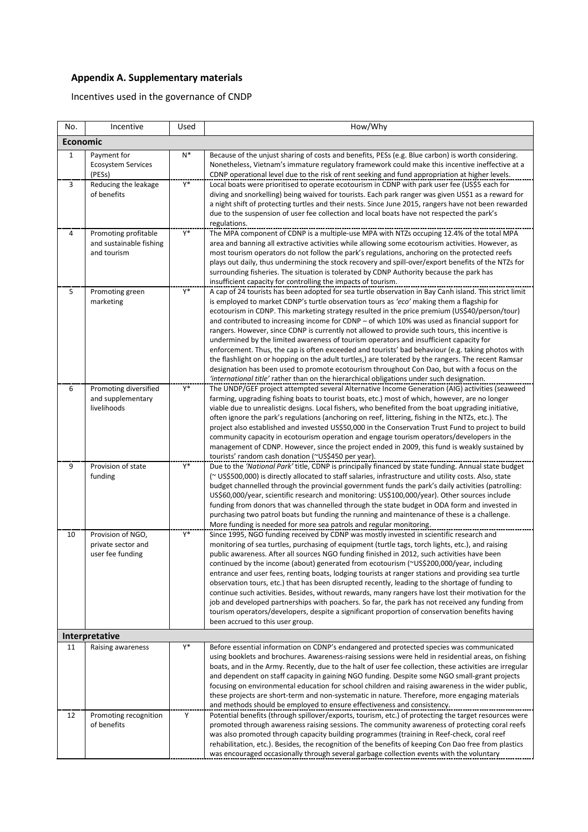# **Appendix A. Supplementary materials**

Incentives used in the governance of CNDP

| No.            | Incentive                                                      | Used           | How/Why                                                                                                                                                                                                                                                                                                                                                                                                                                                                                                                                                                                                                                                                                                                                                                                                                                                                                                                                                                                                     |  |  |
|----------------|----------------------------------------------------------------|----------------|-------------------------------------------------------------------------------------------------------------------------------------------------------------------------------------------------------------------------------------------------------------------------------------------------------------------------------------------------------------------------------------------------------------------------------------------------------------------------------------------------------------------------------------------------------------------------------------------------------------------------------------------------------------------------------------------------------------------------------------------------------------------------------------------------------------------------------------------------------------------------------------------------------------------------------------------------------------------------------------------------------------|--|--|
|                | <b>Economic</b>                                                |                |                                                                                                                                                                                                                                                                                                                                                                                                                                                                                                                                                                                                                                                                                                                                                                                                                                                                                                                                                                                                             |  |  |
| $\mathbf{1}$   | Payment for<br><b>Ecosystem Services</b><br>(PESs)             | $N^*$          | Because of the unjust sharing of costs and benefits, PESs (e.g. Blue carbon) is worth considering.<br>Nonetheless, Vietnam's immature regulatory framework could make this incentive ineffective at a<br>CDNP operational level due to the risk of rent seeking and fund appropriation at higher levels.                                                                                                                                                                                                                                                                                                                                                                                                                                                                                                                                                                                                                                                                                                    |  |  |
| $\overline{3}$ | Reducing the leakage<br>of benefits                            | $\mathsf{Y}^*$ | Local boats were prioritised to operate ecotourism in CDNP with park user fee (US\$5 each for<br>diving and snorkelling) being waived for tourists. Each park ranger was given US\$1 as a reward for<br>a night shift of protecting turtles and their nests. Since June 2015, rangers have not been rewarded<br>due to the suspension of user fee collection and local boats have not respected the park's<br>regulations.                                                                                                                                                                                                                                                                                                                                                                                                                                                                                                                                                                                  |  |  |
| 4              | Promoting profitable<br>and sustainable fishing<br>and tourism | Y*             | The MPA component of CDNP is a multiple-use MPA with NTZs occuping 12.4% of the total MPA<br>area and banning all extractive activities while allowing some ecotourism activities. However, as<br>most tourism operators do not follow the park's regulations, anchoring on the protected reefs<br>plays out daily, thus undermining the stock recovery and spill-over/export benefits of the NTZs for<br>surrounding fisheries. The situation is tolerated by CDNP Authority because the park has<br>insufficient capacity for controlling the impacts of tourism.                                                                                                                                                                                                                                                                                                                                                                                                                                         |  |  |
| 5              | Promoting green<br>marketing                                   | Y*             | A cap of 24 tourists has been adopted for sea turtle observation in Bay Canh island. This strict limit<br>is employed to market CDNP's turtle observation tours as 'eco' making them a flagship for<br>ecotourism in CDNP. This marketing strategy resulted in the price premium (US\$40/person/tour)<br>and contributed to increasing income for CDNP – of which 10% was used as financial support for<br>rangers. However, since CDNP is currently not allowed to provide such tours, this incentive is<br>undermined by the limited awareness of tourism operators and insufficient capacity for<br>enforcement. Thus, the cap is often exceeded and tourists' bad behaviour (e.g. taking photos with<br>the flashlight on or hopping on the adult turtles,) are tolerated by the rangers. The recent Ramsar<br>designation has been used to promote ecotourism throughout Con Dao, but with a focus on the<br>'international title' rather than on the hierarchical obligations under such designation. |  |  |
| 6              | Promoting diversified<br>and supplementary<br>livelihoods      | Y*             | The UNDP/GEF project attempted several Alternative Income Generation (AIG) activities (seaweed<br>farming, upgrading fishing boats to tourist boats, etc.) most of which, however, are no longer<br>viable due to unrealistic designs. Local fishers, who benefited from the boat upgrading initiative,<br>often ignore the park's regulations (anchoring on reef, littering, fishing in the NTZs, etc.). The<br>project also established and invested US\$50,000 in the Conservation Trust Fund to project to build<br>community capacity in ecotourism operation and engage tourism operators/developers in the<br>management of CDNP. However, since the project ended in 2009, this fund is weakly sustained by<br>tourists' random cash donation (~US\$450 per year).                                                                                                                                                                                                                                  |  |  |
| 9              | Provision of state<br>funding                                  | Y*             | Due to the 'National Park' title, CDNP is principally financed by state funding. Annual state budget<br>(~ US\$500,000) is directly allocated to staff salaries, infrastructure and utility costs. Also, state<br>budget channelled through the provincial government funds the park's daily activities (patrolling:<br>US\$60,000/year, scientific research and monitoring: US\$100,000/year). Other sources include<br>funding from donors that was channelled through the state budget in ODA form and invested in<br>purchasing two patrol boats but funding the running and maintenance of these is a challenge.<br>More funding is needed for more sea patrols and regular monitoring.                                                                                                                                                                                                                                                                                                                |  |  |
| 10             | Provision of NGO,<br>private sector and<br>user fee funding    | Y*             | Since 1995, NGO funding received by CDNP was mostly invested in scientific research and<br>monitoring of sea turtles, purchasing of equipment (turtle tags, torch lights, etc.), and raising<br>public awareness. After all sources NGO funding finished in 2012, such activities have been<br>continued by the income (about) generated from ecotourism (~US\$200,000/year, including<br>entrance and user fees, renting boats, lodging tourists at ranger stations and providing sea turtle<br>observation tours, etc.) that has been disrupted recently, leading to the shortage of funding to<br>continue such activities. Besides, without rewards, many rangers have lost their motivation for the<br>job and developed partnerships with poachers. So far, the park has not received any funding from<br>tourism operators/developers, despite a significant proportion of conservation benefits having<br>been accrued to this user group.                                                          |  |  |
|                | Interpretative                                                 |                |                                                                                                                                                                                                                                                                                                                                                                                                                                                                                                                                                                                                                                                                                                                                                                                                                                                                                                                                                                                                             |  |  |
| 11             | Raising awareness                                              | Y*             | Before essential information on CDNP's endangered and protected species was communicated<br>using booklets and brochures. Awareness-raising sessions were held in residential areas, on fishing<br>boats, and in the Army. Recently, due to the halt of user fee collection, these activities are irregular<br>and dependent on staff capacity in gaining NGO funding. Despite some NGO small-grant projects<br>focusing on environmental education for school children and raising awareness in the wider public,<br>these projects are short-term and non-systematic in nature. Therefore, more engaging materials<br>and methods should be employed to ensure effectiveness and consistency.                                                                                                                                                                                                                                                                                                             |  |  |
| 12             | Promoting recognition<br>of benefits                           | Y              | Potential benefits (through spillover/exports, tourism, etc.) of protecting the target resources were<br>promoted through awareness raising sessions. The community awareness of protecting coral reefs<br>was also promoted through capacity building programmes (training in Reef-check, coral reef<br>rehabilitation, etc.). Besides, the recognition of the benefits of keeping Con Dao free from plastics<br>was encouraged occasionally through several garbage collection events with the voluntary                                                                                                                                                                                                                                                                                                                                                                                                                                                                                                  |  |  |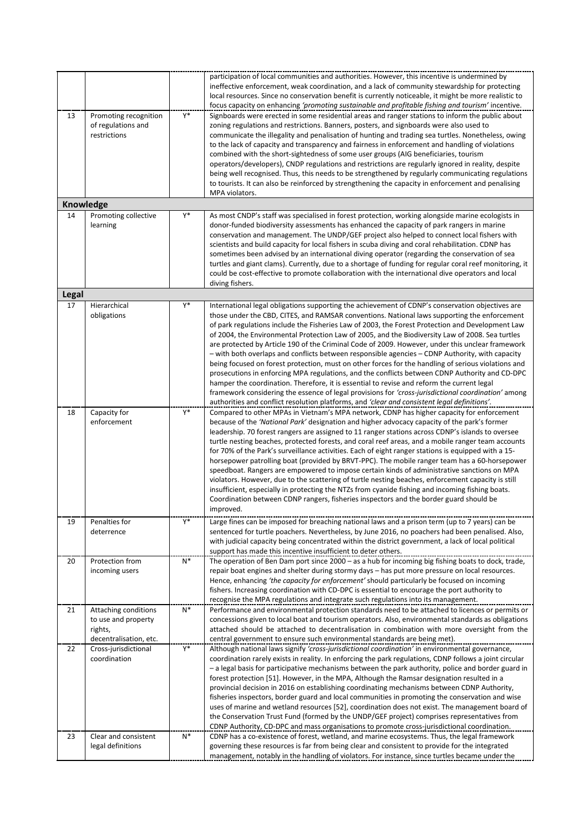|              |                                                                                  |                  | participation of local communities and authorities. However, this incentive is undermined by<br>ineffective enforcement, weak coordination, and a lack of community stewardship for protecting<br>local resources. Since no conservation benefit is currently noticeable, it might be more realistic to<br>focus capacity on enhancing 'promoting sustainable and profitable fishing and tourism' incentive.                                                                                                                                                                                                                                                                                                                                                                                                                                                                                                                                                                                                                                                                                                                  |
|--------------|----------------------------------------------------------------------------------|------------------|-------------------------------------------------------------------------------------------------------------------------------------------------------------------------------------------------------------------------------------------------------------------------------------------------------------------------------------------------------------------------------------------------------------------------------------------------------------------------------------------------------------------------------------------------------------------------------------------------------------------------------------------------------------------------------------------------------------------------------------------------------------------------------------------------------------------------------------------------------------------------------------------------------------------------------------------------------------------------------------------------------------------------------------------------------------------------------------------------------------------------------|
| 13           | Promoting recognition<br>of regulations and<br>restrictions                      | $Y^*$            | Signboards were erected in some residential areas and ranger stations to inform the public about<br>zoning regulations and restrictions. Banners, posters, and signboards were also used to<br>communicate the illegality and penalisation of hunting and trading sea turtles. Nonetheless, owing<br>to the lack of capacity and transparency and fairness in enforcement and handling of violations<br>combined with the short-sightedness of some user groups (AIG beneficiaries, tourism<br>operators/developers), CNDP regulations and restrictions are regularly ignored in reality, despite<br>being well recognised. Thus, this needs to be strengthened by regularly communicating regulations<br>to tourists. It can also be reinforced by strengthening the capacity in enforcement and penalising<br>MPA violators.                                                                                                                                                                                                                                                                                                |
|              | Knowledge                                                                        |                  |                                                                                                                                                                                                                                                                                                                                                                                                                                                                                                                                                                                                                                                                                                                                                                                                                                                                                                                                                                                                                                                                                                                               |
| 14           | Promoting collective<br>learning                                                 | Y*               | As most CNDP's staff was specialised in forest protection, working alongside marine ecologists in<br>donor-funded biodiversity assessments has enhanced the capacity of park rangers in marine<br>conservation and management. The UNDP/GEF project also helped to connect local fishers with<br>scientists and build capacity for local fishers in scuba diving and coral rehabilitation. CDNP has<br>sometimes been advised by an international diving operator (regarding the conservation of sea<br>turtles and giant clams). Currently, due to a shortage of funding for regular coral reef monitoring, it<br>could be cost-effective to promote collaboration with the international dive operators and local<br>diving fishers.                                                                                                                                                                                                                                                                                                                                                                                        |
| <b>Legal</b> |                                                                                  |                  |                                                                                                                                                                                                                                                                                                                                                                                                                                                                                                                                                                                                                                                                                                                                                                                                                                                                                                                                                                                                                                                                                                                               |
| 17           | Hierarchical<br>obligations                                                      | Y*               | International legal obligations supporting the achievement of CDNP's conservation objectives are<br>those under the CBD, CITES, and RAMSAR conventions. National laws supporting the enforcement<br>of park regulations include the Fisheries Law of 2003, the Forest Protection and Development Law<br>of 2004, the Environmental Protection Law of 2005, and the Biodiversity Law of 2008. Sea turtles<br>are protected by Article 190 of the Criminal Code of 2009. However, under this unclear framework<br>- with both overlaps and conflicts between responsible agencies - CDNP Authority, with capacity<br>being focused on forest protection, must on other forces for the handling of serious violations and<br>prosecutions in enforcing MPA regulations, and the conflicts between CDNP Authority and CD-DPC<br>hamper the coordination. Therefore, it is essential to revise and reform the current legal<br>framework considering the essence of legal provisions for 'cross-jurisdictional coordination' among<br>authorities and conflict resolution platforms, and 'clear and consistent legal definitions'. |
| 18           | Capacity for<br>enforcement                                                      | $\overline{Y^*}$ | Compared to other MPAs in Vietnam's MPA network, CDNP has higher capacity for enforcement<br>because of the 'National Park' designation and higher advocacy capacity of the park's former<br>leadership. 70 forest rangers are assigned to 11 ranger stations across CDNP's islands to oversee<br>turtle nesting beaches, protected forests, and coral reef areas, and a mobile ranger team accounts<br>for 70% of the Park's surveillance activities. Each of eight ranger stations is equipped with a 15-<br>horsepower patrolling boat (provided by BRVT-PPC). The mobile ranger team has a 60-horsepower<br>speedboat. Rangers are empowered to impose certain kinds of administrative sanctions on MPA<br>violators. However, due to the scattering of turtle nesting beaches, enforcement capacity is still<br>insufficient, especially in protecting the NTZs from cyanide fishing and incoming fishing boats.<br>Coordination between CDNP rangers, fisheries inspectors and the border guard should be<br>improved.                                                                                                  |
| 19           | Penalties for<br>deterrence                                                      | $\mathsf{Y}^*$   | Large fines can be imposed for breaching national laws and a prison term (up to 7 years) can be<br>sentenced for turtle poachers. Nevertheless, by June 2016, no poachers had been penalised. Also,<br>with judicial capacity being concentrated within the district government, a lack of local political<br>support has made this incentive insufficient to deter others.                                                                                                                                                                                                                                                                                                                                                                                                                                                                                                                                                                                                                                                                                                                                                   |
| 20           | Protection from<br>incoming users                                                | $N^*$            | The operation of Ben Dam port since 2000 - as a hub for incoming big fishing boats to dock, trade,<br>repair boat engines and shelter during stormy days - has put more pressure on local resources.<br>Hence, enhancing 'the capacity for enforcement' should particularly be focused on incoming<br>fishers. Increasing coordination with CD-DPC is essential to encourage the port authority to<br>recognise the MPA regulations and integrate such regulations into its management.                                                                                                                                                                                                                                                                                                                                                                                                                                                                                                                                                                                                                                       |
| 21           | Attaching conditions<br>to use and property<br>rights,<br>decentralisation, etc. | $\mathsf{N}^*$   | Performance and environmental protection standards need to be attached to licences or permits or<br>concessions given to local boat and tourism operators. Also, environmental standards as obligations<br>attached should be attached to decentralisation in combination with more oversight from the<br>central government to ensure such environmental standards are being met).                                                                                                                                                                                                                                                                                                                                                                                                                                                                                                                                                                                                                                                                                                                                           |
| 22           | Cross-jurisdictional<br>coordination                                             | $Y^*$            | Although national laws signify 'cross-jurisdictional coordination' in environmental governance,<br>coordination rarely exists in reality. In enforcing the park regulations, CDNP follows a joint circular<br>- a legal basis for participative mechanisms between the park authority, police and border guard in<br>forest protection [51]. However, in the MPA, Although the Ramsar designation resulted in a<br>provincial decision in 2016 on establishing coordinating mechanisms between CDNP Authority,<br>fisheries inspectors, border guard and local communities in promoting the conservation and wise<br>uses of marine and wetland resources [52], coordination does not exist. The management board of<br>the Conservation Trust Fund (formed by the UNDP/GEF project) comprises representatives from<br>CDNP Authority, CD-DPC and mass organisations to promote cross-jurisdictional coordination.                                                                                                                                                                                                            |
| 23           | Clear and consistent<br>legal definitions                                        | $N^*$            | CDNP has a co-existence of forest, wetland, and marine ecosystems. Thus, the legal framework<br>governing these resources is far from being clear and consistent to provide for the integrated<br>management, notably in the handling of violators. For instance, since turtles became under the                                                                                                                                                                                                                                                                                                                                                                                                                                                                                                                                                                                                                                                                                                                                                                                                                              |